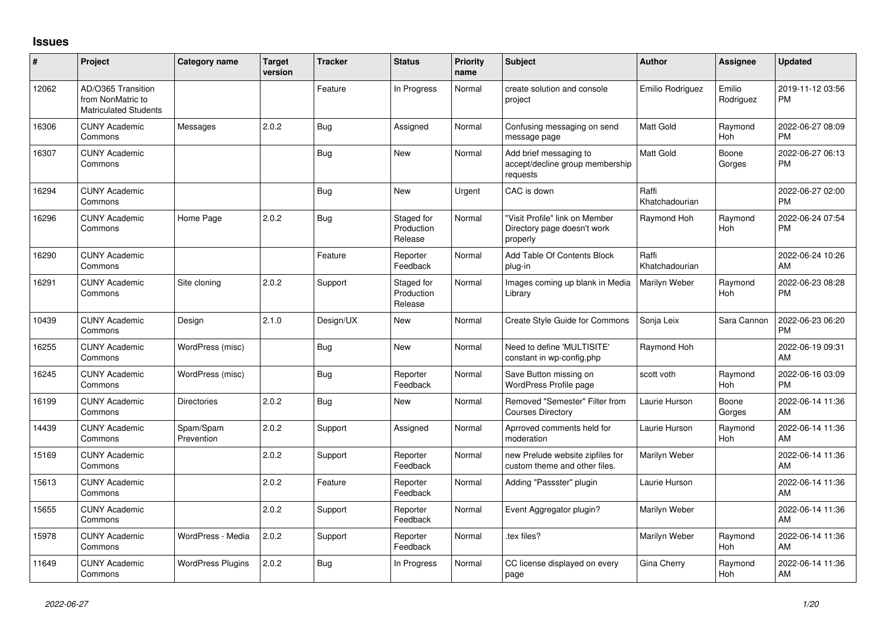## **Issues**

| #     | Project                                                                 | <b>Category name</b>     | <b>Target</b><br>version | <b>Tracker</b> | <b>Status</b>                       | <b>Priority</b><br>name | <b>Subject</b>                                                            | Author                  | <b>Assignee</b>       | <b>Updated</b>                |
|-------|-------------------------------------------------------------------------|--------------------------|--------------------------|----------------|-------------------------------------|-------------------------|---------------------------------------------------------------------------|-------------------------|-----------------------|-------------------------------|
| 12062 | AD/O365 Transition<br>from NonMatric to<br><b>Matriculated Students</b> |                          |                          | Feature        | In Progress                         | Normal                  | create solution and console<br>project                                    | Emilio Rodriguez        | Emilio<br>Rodriguez   | 2019-11-12 03:56<br><b>PM</b> |
| 16306 | <b>CUNY Academic</b><br>Commons                                         | Messages                 | 2.0.2                    | Bug            | Assigned                            | Normal                  | Confusing messaging on send<br>message page                               | <b>Matt Gold</b>        | Raymond<br>Hoh        | 2022-06-27 08:09<br>PM        |
| 16307 | <b>CUNY Academic</b><br>Commons                                         |                          |                          | Bug            | <b>New</b>                          | Normal                  | Add brief messaging to<br>accept/decline group membership<br>requests     | Matt Gold               | Boone<br>Gorges       | 2022-06-27 06:13<br>PM        |
| 16294 | <b>CUNY Academic</b><br>Commons                                         |                          |                          | Bug            | <b>New</b>                          | Urgent                  | CAC is down                                                               | Raffi<br>Khatchadourian |                       | 2022-06-27 02:00<br>PM        |
| 16296 | <b>CUNY Academic</b><br>Commons                                         | Home Page                | 2.0.2                    | Bug            | Staged for<br>Production<br>Release | Normal                  | "Visit Profile" link on Member<br>Directory page doesn't work<br>properly | Raymond Hoh             | Raymond<br>Hoh        | 2022-06-24 07:54<br>PM        |
| 16290 | <b>CUNY Academic</b><br>Commons                                         |                          |                          | Feature        | Reporter<br>Feedback                | Normal                  | Add Table Of Contents Block<br>plug-in                                    | Raffi<br>Khatchadourian |                       | 2022-06-24 10:26<br>AM        |
| 16291 | <b>CUNY Academic</b><br>Commons                                         | Site cloning             | 2.0.2                    | Support        | Staged for<br>Production<br>Release | Normal                  | Images coming up blank in Media<br>Library                                | Marilyn Weber           | Raymond<br><b>Hoh</b> | 2022-06-23 08:28<br>PM        |
| 10439 | <b>CUNY Academic</b><br>Commons                                         | Design                   | 2.1.0                    | Design/UX      | <b>New</b>                          | Normal                  | Create Style Guide for Commons                                            | Sonja Leix              | Sara Cannon           | 2022-06-23 06:20<br><b>PM</b> |
| 16255 | <b>CUNY Academic</b><br>Commons                                         | WordPress (misc)         |                          | Bug            | <b>New</b>                          | Normal                  | Need to define 'MULTISITE'<br>constant in wp-config.php                   | Raymond Hoh             |                       | 2022-06-19 09:31<br>AM        |
| 16245 | <b>CUNY Academic</b><br>Commons                                         | WordPress (misc)         |                          | Bug            | Reporter<br>Feedback                | Normal                  | Save Button missing on<br><b>WordPress Profile page</b>                   | scott voth              | Raymond<br>Hoh        | 2022-06-16 03:09<br><b>PM</b> |
| 16199 | <b>CUNY Academic</b><br>Commons                                         | Directories              | 2.0.2                    | Bug            | <b>New</b>                          | Normal                  | Removed "Semester" Filter from<br><b>Courses Directory</b>                | Laurie Hurson           | Boone<br>Gorges       | 2022-06-14 11:36<br>AM        |
| 14439 | <b>CUNY Academic</b><br>Commons                                         | Spam/Spam<br>Prevention  | 2.0.2                    | Support        | Assigned                            | Normal                  | Aprroved comments held for<br>moderation                                  | Laurie Hurson           | Raymond<br>Hoh        | 2022-06-14 11:36<br>AM        |
| 15169 | <b>CUNY Academic</b><br>Commons                                         |                          | 2.0.2                    | Support        | Reporter<br>Feedback                | Normal                  | new Prelude website zipfiles for<br>custom theme and other files.         | Marilyn Weber           |                       | 2022-06-14 11:36<br>AM        |
| 15613 | <b>CUNY Academic</b><br>Commons                                         |                          | 2.0.2                    | Feature        | Reporter<br>Feedback                | Normal                  | Adding "Passster" plugin                                                  | Laurie Hurson           |                       | 2022-06-14 11:36<br>AM        |
| 15655 | <b>CUNY Academic</b><br>Commons                                         |                          | 2.0.2                    | Support        | Reporter<br>Feedback                | Normal                  | Event Aggregator plugin?                                                  | Marilyn Weber           |                       | 2022-06-14 11:36<br>AM        |
| 15978 | <b>CUNY Academic</b><br>Commons                                         | WordPress - Media        | 2.0.2                    | Support        | Reporter<br>Feedback                | Normal                  | tex files?                                                                | Marilyn Weber           | Raymond<br>Hoh        | 2022-06-14 11:36<br>AM        |
| 11649 | <b>CUNY Academic</b><br>Commons                                         | <b>WordPress Plugins</b> | 2.0.2                    | Bug            | In Progress                         | Normal                  | CC license displayed on every<br>page                                     | Gina Cherry             | Raymond<br>Hoh        | 2022-06-14 11:36<br>AM        |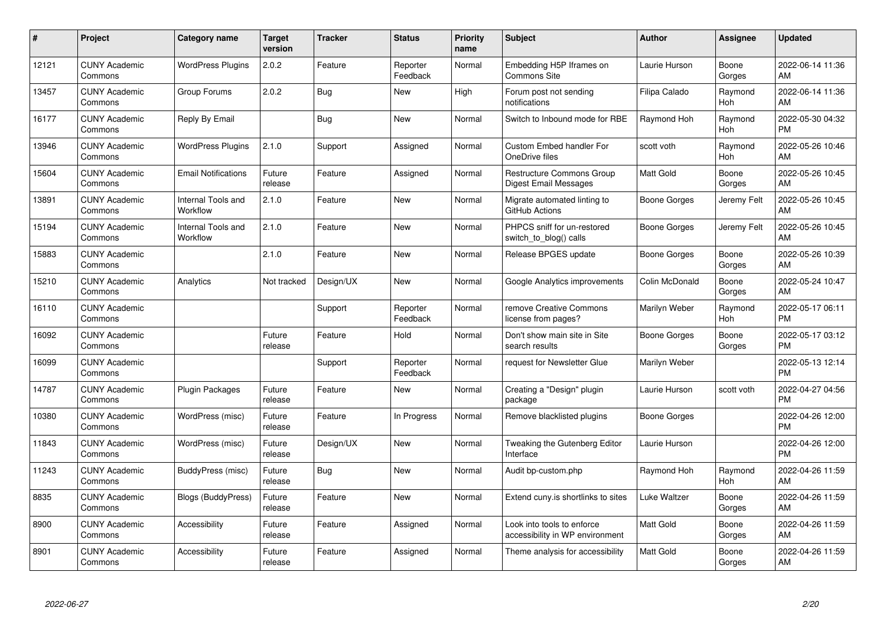| $\#$  | Project                         | Category name                  | <b>Target</b><br>version | <b>Tracker</b> | <b>Status</b>        | <b>Priority</b><br>name | <b>Subject</b>                                                | Author              | <b>Assignee</b>       | <b>Updated</b>                |
|-------|---------------------------------|--------------------------------|--------------------------|----------------|----------------------|-------------------------|---------------------------------------------------------------|---------------------|-----------------------|-------------------------------|
| 12121 | <b>CUNY Academic</b><br>Commons | <b>WordPress Plugins</b>       | 2.0.2                    | Feature        | Reporter<br>Feedback | Normal                  | Embedding H5P Iframes on<br><b>Commons Site</b>               | Laurie Hurson       | Boone<br>Gorges       | 2022-06-14 11:36<br>AM        |
| 13457 | <b>CUNY Academic</b><br>Commons | Group Forums                   | 2.0.2                    | Bug            | <b>New</b>           | High                    | Forum post not sending<br>notifications                       | Filipa Calado       | Raymond<br><b>Hoh</b> | 2022-06-14 11:36<br>AM        |
| 16177 | <b>CUNY Academic</b><br>Commons | Reply By Email                 |                          | <b>Bug</b>     | <b>New</b>           | Normal                  | Switch to Inbound mode for RBE                                | Raymond Hoh         | Raymond<br><b>Hoh</b> | 2022-05-30 04:32<br><b>PM</b> |
| 13946 | <b>CUNY Academic</b><br>Commons | <b>WordPress Plugins</b>       | 2.1.0                    | Support        | Assigned             | Normal                  | Custom Embed handler For<br>OneDrive files                    | scott voth          | Raymond<br>Hoh        | 2022-05-26 10:46<br>AM        |
| 15604 | <b>CUNY Academic</b><br>Commons | <b>Email Notifications</b>     | Future<br>release        | Feature        | Assigned             | Normal                  | <b>Restructure Commons Group</b><br>Digest Email Messages     | <b>Matt Gold</b>    | Boone<br>Gorges       | 2022-05-26 10:45<br>AM        |
| 13891 | <b>CUNY Academic</b><br>Commons | Internal Tools and<br>Workflow | 2.1.0                    | Feature        | <b>New</b>           | Normal                  | Migrate automated linting to<br>GitHub Actions                | <b>Boone Gorges</b> | Jeremy Felt           | 2022-05-26 10:45<br>AM        |
| 15194 | <b>CUNY Academic</b><br>Commons | Internal Tools and<br>Workflow | 2.1.0                    | Feature        | <b>New</b>           | Normal                  | PHPCS sniff for un-restored<br>switch to blog() calls         | Boone Gorges        | Jeremy Felt           | 2022-05-26 10:45<br>AM        |
| 15883 | <b>CUNY Academic</b><br>Commons |                                | 2.1.0                    | Feature        | <b>New</b>           | Normal                  | Release BPGES update                                          | <b>Boone Gorges</b> | Boone<br>Gorges       | 2022-05-26 10:39<br>AM        |
| 15210 | <b>CUNY Academic</b><br>Commons | Analytics                      | Not tracked              | Design/UX      | <b>New</b>           | Normal                  | Google Analytics improvements                                 | Colin McDonald      | Boone<br>Gorges       | 2022-05-24 10:47<br>AM        |
| 16110 | <b>CUNY Academic</b><br>Commons |                                |                          | Support        | Reporter<br>Feedback | Normal                  | remove Creative Commons<br>license from pages?                | Marilyn Weber       | Raymond<br>Hoh        | 2022-05-17 06:11<br><b>PM</b> |
| 16092 | <b>CUNY Academic</b><br>Commons |                                | Future<br>release        | Feature        | Hold                 | Normal                  | Don't show main site in Site<br>search results                | Boone Gorges        | Boone<br>Gorges       | 2022-05-17 03:12<br><b>PM</b> |
| 16099 | <b>CUNY Academic</b><br>Commons |                                |                          | Support        | Reporter<br>Feedback | Normal                  | request for Newsletter Glue                                   | Marilyn Weber       |                       | 2022-05-13 12:14<br><b>PM</b> |
| 14787 | <b>CUNY Academic</b><br>Commons | <b>Plugin Packages</b>         | Future<br>release        | Feature        | <b>New</b>           | Normal                  | Creating a "Design" plugin<br>package                         | Laurie Hurson       | scott voth            | 2022-04-27 04:56<br><b>PM</b> |
| 10380 | <b>CUNY Academic</b><br>Commons | WordPress (misc)               | Future<br>release        | Feature        | In Progress          | Normal                  | Remove blacklisted plugins                                    | Boone Gorges        |                       | 2022-04-26 12:00<br><b>PM</b> |
| 11843 | <b>CUNY Academic</b><br>Commons | WordPress (misc)               | Future<br>release        | Design/UX      | <b>New</b>           | Normal                  | Tweaking the Gutenberg Editor<br>Interface                    | Laurie Hurson       |                       | 2022-04-26 12:00<br><b>PM</b> |
| 11243 | <b>CUNY Academic</b><br>Commons | BuddyPress (misc)              | Future<br>release        | Bug            | <b>New</b>           | Normal                  | Audit bp-custom.php                                           | Raymond Hoh         | Raymond<br><b>Hoh</b> | 2022-04-26 11:59<br>AM        |
| 8835  | <b>CUNY Academic</b><br>Commons | Blogs (BuddyPress)             | Future<br>release        | Feature        | <b>New</b>           | Normal                  | Extend cuny is shortlinks to sites                            | Luke Waltzer        | Boone<br>Gorges       | 2022-04-26 11:59<br>AM        |
| 8900  | <b>CUNY Academic</b><br>Commons | Accessibility                  | Future<br>release        | Feature        | Assigned             | Normal                  | Look into tools to enforce<br>accessibility in WP environment | <b>Matt Gold</b>    | Boone<br>Gorges       | 2022-04-26 11:59<br>AM        |
| 8901  | CUNY Academic<br>Commons        | Accessibility                  | Future<br>release        | Feature        | Assigned             | Normal                  | Theme analysis for accessibility                              | <b>Matt Gold</b>    | Boone<br>Gorges       | 2022-04-26 11:59<br>AM        |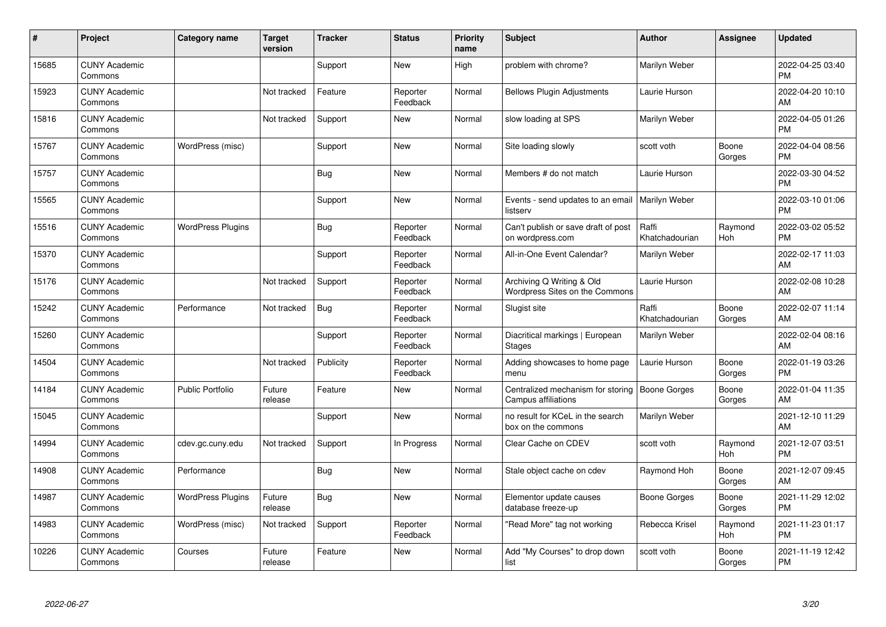| $\#$  | Project                         | <b>Category name</b>     | <b>Target</b><br>version | <b>Tracker</b> | <b>Status</b>        | <b>Priority</b><br>name | <b>Subject</b>                                              | Author                  | <b>Assignee</b> | <b>Updated</b>                |
|-------|---------------------------------|--------------------------|--------------------------|----------------|----------------------|-------------------------|-------------------------------------------------------------|-------------------------|-----------------|-------------------------------|
| 15685 | <b>CUNY Academic</b><br>Commons |                          |                          | Support        | <b>New</b>           | High                    | problem with chrome?                                        | Marilyn Weber           |                 | 2022-04-25 03:40<br><b>PM</b> |
| 15923 | <b>CUNY Academic</b><br>Commons |                          | Not tracked              | Feature        | Reporter<br>Feedback | Normal                  | <b>Bellows Plugin Adjustments</b>                           | Laurie Hurson           |                 | 2022-04-20 10:10<br>AM        |
| 15816 | <b>CUNY Academic</b><br>Commons |                          | Not tracked              | Support        | New                  | Normal                  | slow loading at SPS                                         | Marilyn Weber           |                 | 2022-04-05 01:26<br><b>PM</b> |
| 15767 | <b>CUNY Academic</b><br>Commons | WordPress (misc)         |                          | Support        | <b>New</b>           | Normal                  | Site loading slowly                                         | scott voth              | Boone<br>Gorges | 2022-04-04 08:56<br><b>PM</b> |
| 15757 | <b>CUNY Academic</b><br>Commons |                          |                          | <b>Bug</b>     | <b>New</b>           | Normal                  | Members # do not match                                      | Laurie Hurson           |                 | 2022-03-30 04:52<br><b>PM</b> |
| 15565 | <b>CUNY Academic</b><br>Commons |                          |                          | Support        | <b>New</b>           | Normal                  | Events - send updates to an email<br>listserv               | Marilyn Weber           |                 | 2022-03-10 01:06<br><b>PM</b> |
| 15516 | <b>CUNY Academic</b><br>Commons | <b>WordPress Plugins</b> |                          | <b>Bug</b>     | Reporter<br>Feedback | Normal                  | Can't publish or save draft of post<br>on wordpress.com     | Raffi<br>Khatchadourian | Raymond<br>Hoh  | 2022-03-02 05:52<br><b>PM</b> |
| 15370 | <b>CUNY Academic</b><br>Commons |                          |                          | Support        | Reporter<br>Feedback | Normal                  | All-in-One Event Calendar?                                  | Marilyn Weber           |                 | 2022-02-17 11:03<br>AM        |
| 15176 | <b>CUNY Academic</b><br>Commons |                          | Not tracked              | Support        | Reporter<br>Feedback | Normal                  | Archiving Q Writing & Old<br>Wordpress Sites on the Commons | Laurie Hurson           |                 | 2022-02-08 10:28<br>AM        |
| 15242 | <b>CUNY Academic</b><br>Commons | Performance              | Not tracked              | Bug            | Reporter<br>Feedback | Normal                  | Slugist site                                                | Raffi<br>Khatchadourian | Boone<br>Gorges | 2022-02-07 11:14<br>AM        |
| 15260 | <b>CUNY Academic</b><br>Commons |                          |                          | Support        | Reporter<br>Feedback | Normal                  | Diacritical markings   European<br><b>Stages</b>            | Marilyn Weber           |                 | 2022-02-04 08:16<br>AM        |
| 14504 | <b>CUNY Academic</b><br>Commons |                          | Not tracked              | Publicity      | Reporter<br>Feedback | Normal                  | Adding showcases to home page<br>menu                       | Laurie Hurson           | Boone<br>Gorges | 2022-01-19 03:26<br><b>PM</b> |
| 14184 | <b>CUNY Academic</b><br>Commons | <b>Public Portfolio</b>  | Future<br>release        | Feature        | New                  | Normal                  | Centralized mechanism for storing<br>Campus affiliations    | <b>Boone Gorges</b>     | Boone<br>Gorges | 2022-01-04 11:35<br>AM        |
| 15045 | <b>CUNY Academic</b><br>Commons |                          |                          | Support        | New                  | Normal                  | no result for KCeL in the search<br>box on the commons      | Marilyn Weber           |                 | 2021-12-10 11:29<br>AM        |
| 14994 | <b>CUNY Academic</b><br>Commons | cdev.gc.cuny.edu         | Not tracked              | Support        | In Progress          | Normal                  | Clear Cache on CDEV                                         | scott voth              | Raymond<br>Hoh  | 2021-12-07 03:51<br><b>PM</b> |
| 14908 | <b>CUNY Academic</b><br>Commons | Performance              |                          | Bug            | New                  | Normal                  | Stale object cache on cdev                                  | Raymond Hoh             | Boone<br>Gorges | 2021-12-07 09:45<br>AM        |
| 14987 | <b>CUNY Academic</b><br>Commons | <b>WordPress Plugins</b> | Future<br>release        | Bug            | New                  | Normal                  | Elementor update causes<br>database freeze-up               | Boone Gorges            | Boone<br>Gorges | 2021-11-29 12:02<br><b>PM</b> |
| 14983 | <b>CUNY Academic</b><br>Commons | WordPress (misc)         | Not tracked              | Support        | Reporter<br>Feedback | Normal                  | 'Read More" tag not working                                 | Rebecca Krisel          | Raymond<br>Hoh  | 2021-11-23 01:17<br><b>PM</b> |
| 10226 | <b>CUNY Academic</b><br>Commons | Courses                  | Future<br>release        | Feature        | <b>New</b>           | Normal                  | Add "My Courses" to drop down<br>list                       | scott voth              | Boone<br>Gorges | 2021-11-19 12:42<br><b>PM</b> |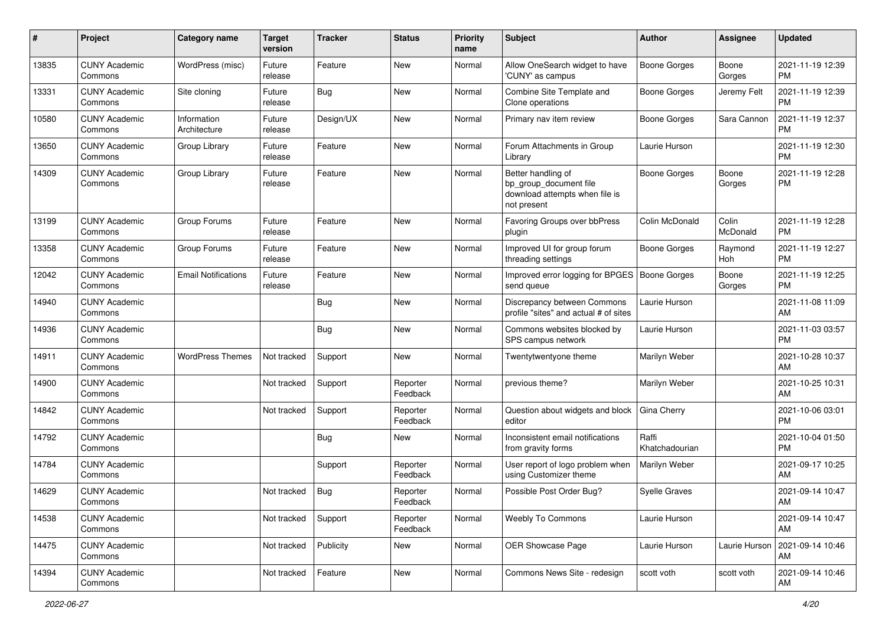| #     | Project                         | <b>Category name</b>        | Target<br>version | <b>Tracker</b> | <b>Status</b>        | <b>Priority</b><br>name | <b>Subject</b>                                                                                | <b>Author</b>           | <b>Assignee</b>   | <b>Updated</b>                |
|-------|---------------------------------|-----------------------------|-------------------|----------------|----------------------|-------------------------|-----------------------------------------------------------------------------------------------|-------------------------|-------------------|-------------------------------|
| 13835 | <b>CUNY Academic</b><br>Commons | WordPress (misc)            | Future<br>release | Feature        | <b>New</b>           | Normal                  | Allow OneSearch widget to have<br>'CUNY' as campus                                            | <b>Boone Gorges</b>     | Boone<br>Gorges   | 2021-11-19 12:39<br><b>PM</b> |
| 13331 | <b>CUNY Academic</b><br>Commons | Site cloning                | Future<br>release | <b>Bug</b>     | New                  | Normal                  | Combine Site Template and<br>Clone operations                                                 | <b>Boone Gorges</b>     | Jeremy Felt       | 2021-11-19 12:39<br><b>PM</b> |
| 10580 | <b>CUNY Academic</b><br>Commons | Information<br>Architecture | Future<br>release | Design/UX      | New                  | Normal                  | Primary nav item review                                                                       | Boone Gorges            | Sara Cannon       | 2021-11-19 12:37<br><b>PM</b> |
| 13650 | <b>CUNY Academic</b><br>Commons | Group Library               | Future<br>release | Feature        | New                  | Normal                  | Forum Attachments in Group<br>Library                                                         | Laurie Hurson           |                   | 2021-11-19 12:30<br><b>PM</b> |
| 14309 | <b>CUNY Academic</b><br>Commons | Group Library               | Future<br>release | Feature        | New                  | Normal                  | Better handling of<br>bp_group_document file<br>download attempts when file is<br>not present | Boone Gorges            | Boone<br>Gorges   | 2021-11-19 12:28<br><b>PM</b> |
| 13199 | <b>CUNY Academic</b><br>Commons | Group Forums                | Future<br>release | Feature        | New                  | Normal                  | Favoring Groups over bbPress<br>plugin                                                        | Colin McDonald          | Colin<br>McDonald | 2021-11-19 12:28<br><b>PM</b> |
| 13358 | <b>CUNY Academic</b><br>Commons | Group Forums                | Future<br>release | Feature        | <b>New</b>           | Normal                  | Improved UI for group forum<br>threading settings                                             | Boone Gorges            | Raymond<br>Hoh    | 2021-11-19 12:27<br><b>PM</b> |
| 12042 | <b>CUNY Academic</b><br>Commons | <b>Email Notifications</b>  | Future<br>release | Feature        | New                  | Normal                  | Improved error logging for BPGES<br>send queue                                                | Boone Gorges            | Boone<br>Gorges   | 2021-11-19 12:25<br><b>PM</b> |
| 14940 | <b>CUNY Academic</b><br>Commons |                             |                   | <b>Bug</b>     | New                  | Normal                  | Discrepancy between Commons<br>profile "sites" and actual # of sites                          | Laurie Hurson           |                   | 2021-11-08 11:09<br>AM        |
| 14936 | <b>CUNY Academic</b><br>Commons |                             |                   | Bug            | <b>New</b>           | Normal                  | Commons websites blocked by<br>SPS campus network                                             | Laurie Hurson           |                   | 2021-11-03 03:57<br><b>PM</b> |
| 14911 | <b>CUNY Academic</b><br>Commons | <b>WordPress Themes</b>     | Not tracked       | Support        | New                  | Normal                  | Twentytwentyone theme                                                                         | Marilyn Weber           |                   | 2021-10-28 10:37<br>AM        |
| 14900 | <b>CUNY Academic</b><br>Commons |                             | Not tracked       | Support        | Reporter<br>Feedback | Normal                  | previous theme?                                                                               | Marilyn Weber           |                   | 2021-10-25 10:31<br>AM        |
| 14842 | <b>CUNY Academic</b><br>Commons |                             | Not tracked       | Support        | Reporter<br>Feedback | Normal                  | Question about widgets and block<br>editor                                                    | Gina Cherry             |                   | 2021-10-06 03:01<br><b>PM</b> |
| 14792 | <b>CUNY Academic</b><br>Commons |                             |                   | Bug            | New                  | Normal                  | Inconsistent email notifications<br>from gravity forms                                        | Raffi<br>Khatchadourian |                   | 2021-10-04 01:50<br><b>PM</b> |
| 14784 | <b>CUNY Academic</b><br>Commons |                             |                   | Support        | Reporter<br>Feedback | Normal                  | User report of logo problem when<br>using Customizer theme                                    | Marilyn Weber           |                   | 2021-09-17 10:25<br>AM        |
| 14629 | <b>CUNY Academic</b><br>Commons |                             | Not tracked       | Bug            | Reporter<br>Feedback | Normal                  | Possible Post Order Bug?                                                                      | <b>Syelle Graves</b>    |                   | 2021-09-14 10:47<br>AM        |
| 14538 | <b>CUNY Academic</b><br>Commons |                             | Not tracked       | Support        | Reporter<br>Feedback | Normal                  | Weebly To Commons                                                                             | Laurie Hurson           |                   | 2021-09-14 10:47<br>AM        |
| 14475 | <b>CUNY Academic</b><br>Commons |                             | Not tracked       | Publicity      | New                  | Normal                  | OER Showcase Page                                                                             | Laurie Hurson           | Laurie Hurson     | 2021-09-14 10:46<br>AM        |
| 14394 | <b>CUNY Academic</b><br>Commons |                             | Not tracked       | Feature        | New                  | Normal                  | Commons News Site - redesign                                                                  | scott voth              | scott voth        | 2021-09-14 10:46<br>AM        |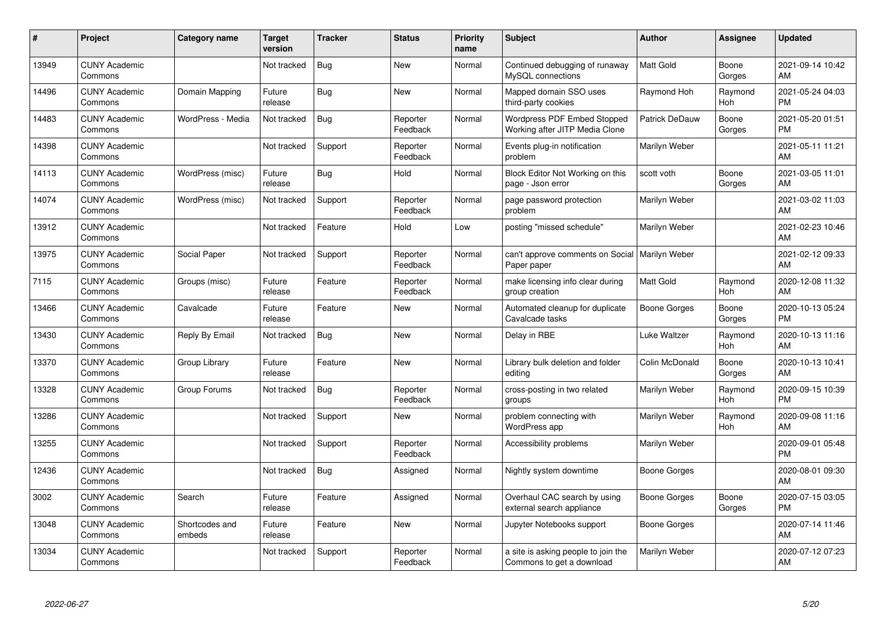| #     | Project                         | Category name            | <b>Target</b><br>version | <b>Tracker</b> | <b>Status</b>        | <b>Priority</b><br>name | <b>Subject</b>                                                   | <b>Author</b>       | Assignee              | <b>Updated</b>                |
|-------|---------------------------------|--------------------------|--------------------------|----------------|----------------------|-------------------------|------------------------------------------------------------------|---------------------|-----------------------|-------------------------------|
| 13949 | <b>CUNY Academic</b><br>Commons |                          | Not tracked              | <b>Bug</b>     | <b>New</b>           | Normal                  | Continued debugging of runaway<br>MySQL connections              | <b>Matt Gold</b>    | Boone<br>Gorges       | 2021-09-14 10:42<br>AM        |
| 14496 | <b>CUNY Academic</b><br>Commons | Domain Mapping           | Future<br>release        | Bug            | <b>New</b>           | Normal                  | Mapped domain SSO uses<br>third-party cookies                    | Raymond Hoh         | Raymond<br>Hoh        | 2021-05-24 04:03<br><b>PM</b> |
| 14483 | <b>CUNY Academic</b><br>Commons | WordPress - Media        | Not tracked              | <b>Bug</b>     | Reporter<br>Feedback | Normal                  | Wordpress PDF Embed Stopped<br>Working after JITP Media Clone    | Patrick DeDauw      | Boone<br>Gorges       | 2021-05-20 01:51<br><b>PM</b> |
| 14398 | <b>CUNY Academic</b><br>Commons |                          | Not tracked              | Support        | Reporter<br>Feedback | Normal                  | Events plug-in notification<br>problem                           | Marilyn Weber       |                       | 2021-05-11 11:21<br>AM        |
| 14113 | <b>CUNY Academic</b><br>Commons | WordPress (misc)         | Future<br>release        | Bug            | Hold                 | Normal                  | Block Editor Not Working on this<br>page - Json error            | scott voth          | Boone<br>Gorges       | 2021-03-05 11:01<br>AM        |
| 14074 | <b>CUNY Academic</b><br>Commons | WordPress (misc)         | Not tracked              | Support        | Reporter<br>Feedback | Normal                  | page password protection<br>problem                              | Marilyn Weber       |                       | 2021-03-02 11:03<br>AM        |
| 13912 | <b>CUNY Academic</b><br>Commons |                          | Not tracked              | Feature        | Hold                 | Low                     | posting "missed schedule"                                        | Marilyn Weber       |                       | 2021-02-23 10:46<br>AM        |
| 13975 | <b>CUNY Academic</b><br>Commons | Social Paper             | Not tracked              | Support        | Reporter<br>Feedback | Normal                  | can't approve comments on Social   Marilyn Weber<br>Paper paper  |                     |                       | 2021-02-12 09:33<br>AM        |
| 7115  | <b>CUNY Academic</b><br>Commons | Groups (misc)            | Future<br>release        | Feature        | Reporter<br>Feedback | Normal                  | make licensing info clear during<br>group creation               | <b>Matt Gold</b>    | Raymond<br>Hoh        | 2020-12-08 11:32<br>AM        |
| 13466 | <b>CUNY Academic</b><br>Commons | Cavalcade                | Future<br>release        | Feature        | <b>New</b>           | Normal                  | Automated cleanup for duplicate<br>Cavalcade tasks               | Boone Gorges        | Boone<br>Gorges       | 2020-10-13 05:24<br><b>PM</b> |
| 13430 | <b>CUNY Academic</b><br>Commons | Reply By Email           | Not tracked              | <b>Bug</b>     | <b>New</b>           | Normal                  | Delay in RBE                                                     | Luke Waltzer        | Raymond<br>Hoh        | 2020-10-13 11:16<br>AM        |
| 13370 | <b>CUNY Academic</b><br>Commons | Group Library            | Future<br>release        | Feature        | <b>New</b>           | Normal                  | Library bulk deletion and folder<br>editing                      | Colin McDonald      | Boone<br>Gorges       | 2020-10-13 10:41<br>AM        |
| 13328 | <b>CUNY Academic</b><br>Commons | Group Forums             | Not tracked              | <b>Bug</b>     | Reporter<br>Feedback | Normal                  | cross-posting in two related<br>groups                           | Marilyn Weber       | Raymond<br><b>Hoh</b> | 2020-09-15 10:39<br><b>PM</b> |
| 13286 | <b>CUNY Academic</b><br>Commons |                          | Not tracked              | Support        | New                  | Normal                  | problem connecting with<br>WordPress app                         | Marilyn Weber       | Raymond<br>Hoh        | 2020-09-08 11:16<br>AM        |
| 13255 | <b>CUNY Academic</b><br>Commons |                          | Not tracked              | Support        | Reporter<br>Feedback | Normal                  | Accessibility problems                                           | Marilyn Weber       |                       | 2020-09-01 05:48<br><b>PM</b> |
| 12436 | <b>CUNY Academic</b><br>Commons |                          | Not tracked              | Bug            | Assigned             | Normal                  | Nightly system downtime                                          | <b>Boone Gorges</b> |                       | 2020-08-01 09:30<br>AM        |
| 3002  | <b>CUNY Academic</b><br>Commons | Search                   | Future<br>release        | Feature        | Assigned             | Normal                  | Overhaul CAC search by using<br>external search appliance        | Boone Gorges        | Boone<br>Gorges       | 2020-07-15 03:05<br><b>PM</b> |
| 13048 | <b>CUNY Academic</b><br>Commons | Shortcodes and<br>embeds | Future<br>release        | Feature        | <b>New</b>           | Normal                  | Jupyter Notebooks support                                        | Boone Gorges        |                       | 2020-07-14 11:46<br>AM        |
| 13034 | <b>CUNY Academic</b><br>Commons |                          | Not tracked              | Support        | Reporter<br>Feedback | Normal                  | a site is asking people to join the<br>Commons to get a download | Marilyn Weber       |                       | 2020-07-12 07:23<br>AM        |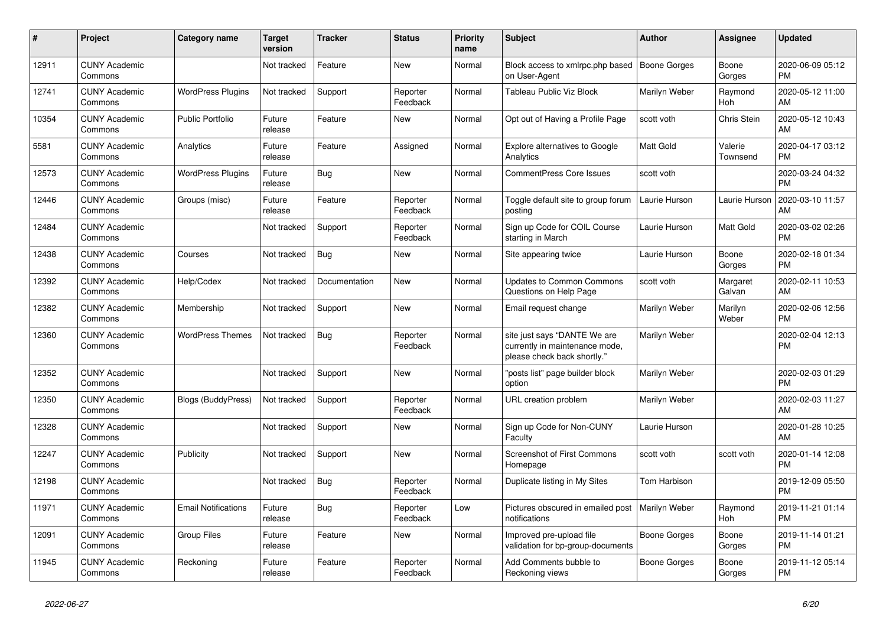| #     | <b>Project</b>                  | Category name              | <b>Target</b><br>version | <b>Tracker</b> | <b>Status</b>        | <b>Priority</b><br>name | <b>Subject</b>                                                                                | <b>Author</b>       | <b>Assignee</b>     | <b>Updated</b>                |
|-------|---------------------------------|----------------------------|--------------------------|----------------|----------------------|-------------------------|-----------------------------------------------------------------------------------------------|---------------------|---------------------|-------------------------------|
| 12911 | <b>CUNY Academic</b><br>Commons |                            | Not tracked              | Feature        | New                  | Normal                  | Block access to xmlrpc.php based<br>on User-Agent                                             | <b>Boone Gorges</b> | Boone<br>Gorges     | 2020-06-09 05:12<br><b>PM</b> |
| 12741 | <b>CUNY Academic</b><br>Commons | <b>WordPress Plugins</b>   | Not tracked              | Support        | Reporter<br>Feedback | Normal                  | Tableau Public Viz Block                                                                      | Marilyn Weber       | Raymond<br>Hoh      | 2020-05-12 11:00<br>AM        |
| 10354 | <b>CUNY Academic</b><br>Commons | <b>Public Portfolio</b>    | Future<br>release        | Feature        | New                  | Normal                  | Opt out of Having a Profile Page                                                              | scott voth          | Chris Stein         | 2020-05-12 10:43<br>AM        |
| 5581  | <b>CUNY Academic</b><br>Commons | Analytics                  | Future<br>release        | Feature        | Assigned             | Normal                  | <b>Explore alternatives to Google</b><br>Analytics                                            | Matt Gold           | Valerie<br>Townsend | 2020-04-17 03:12<br><b>PM</b> |
| 12573 | <b>CUNY Academic</b><br>Commons | <b>WordPress Plugins</b>   | Future<br>release        | <b>Bug</b>     | <b>New</b>           | Normal                  | <b>CommentPress Core Issues</b>                                                               | scott voth          |                     | 2020-03-24 04:32<br><b>PM</b> |
| 12446 | <b>CUNY Academic</b><br>Commons | Groups (misc)              | Future<br>release        | Feature        | Reporter<br>Feedback | Normal                  | Toggle default site to group forum<br>posting                                                 | Laurie Hurson       | Laurie Hurson       | 2020-03-10 11:57<br>AM        |
| 12484 | <b>CUNY Academic</b><br>Commons |                            | Not tracked              | Support        | Reporter<br>Feedback | Normal                  | Sign up Code for COIL Course<br>starting in March                                             | Laurie Hurson       | Matt Gold           | 2020-03-02 02:26<br><b>PM</b> |
| 12438 | <b>CUNY Academic</b><br>Commons | Courses                    | Not tracked              | Bug            | <b>New</b>           | Normal                  | Site appearing twice                                                                          | Laurie Hurson       | Boone<br>Gorges     | 2020-02-18 01:34<br><b>PM</b> |
| 12392 | <b>CUNY Academic</b><br>Commons | Help/Codex                 | Not tracked              | Documentation  | <b>New</b>           | Normal                  | <b>Updates to Common Commons</b><br>Questions on Help Page                                    | scott voth          | Margaret<br>Galvan  | 2020-02-11 10:53<br>AM        |
| 12382 | <b>CUNY Academic</b><br>Commons | Membership                 | Not tracked              | Support        | <b>New</b>           | Normal                  | Email request change                                                                          | Marilyn Weber       | Marilyn<br>Weber    | 2020-02-06 12:56<br><b>PM</b> |
| 12360 | <b>CUNY Academic</b><br>Commons | <b>WordPress Themes</b>    | Not tracked              | Bug            | Reporter<br>Feedback | Normal                  | site just says "DANTE We are<br>currently in maintenance mode,<br>please check back shortly." | Marilyn Weber       |                     | 2020-02-04 12:13<br><b>PM</b> |
| 12352 | <b>CUNY Academic</b><br>Commons |                            | Not tracked              | Support        | New                  | Normal                  | "posts list" page builder block<br>option                                                     | Marilyn Weber       |                     | 2020-02-03 01:29<br><b>PM</b> |
| 12350 | <b>CUNY Academic</b><br>Commons | <b>Blogs (BuddyPress)</b>  | Not tracked              | Support        | Reporter<br>Feedback | Normal                  | URL creation problem                                                                          | Marilyn Weber       |                     | 2020-02-03 11:27<br>AM        |
| 12328 | <b>CUNY Academic</b><br>Commons |                            | Not tracked              | Support        | <b>New</b>           | Normal                  | Sign up Code for Non-CUNY<br>Faculty                                                          | Laurie Hurson       |                     | 2020-01-28 10:25<br>AM        |
| 12247 | <b>CUNY Academic</b><br>Commons | Publicity                  | Not tracked              | Support        | New                  | Normal                  | <b>Screenshot of First Commons</b><br>Homepage                                                | scott voth          | scott voth          | 2020-01-14 12:08<br><b>PM</b> |
| 12198 | <b>CUNY Academic</b><br>Commons |                            | Not tracked              | Bug            | Reporter<br>Feedback | Normal                  | Duplicate listing in My Sites                                                                 | Tom Harbison        |                     | 2019-12-09 05:50<br><b>PM</b> |
| 11971 | <b>CUNY Academic</b><br>Commons | <b>Email Notifications</b> | Future<br>release        | Bug            | Reporter<br>Feedback | Low                     | Pictures obscured in emailed post<br>notifications                                            | Marilyn Weber       | Raymond<br>Hoh      | 2019-11-21 01:14<br><b>PM</b> |
| 12091 | <b>CUNY Academic</b><br>Commons | <b>Group Files</b>         | Future<br>release        | Feature        | New                  | Normal                  | Improved pre-upload file<br>validation for bp-group-documents                                 | Boone Gorges        | Boone<br>Gorges     | 2019-11-14 01:21<br><b>PM</b> |
| 11945 | <b>CUNY Academic</b><br>Commons | Reckoning                  | Future<br>release        | Feature        | Reporter<br>Feedback | Normal                  | Add Comments bubble to<br>Reckoning views                                                     | Boone Gorges        | Boone<br>Gorges     | 2019-11-12 05:14<br><b>PM</b> |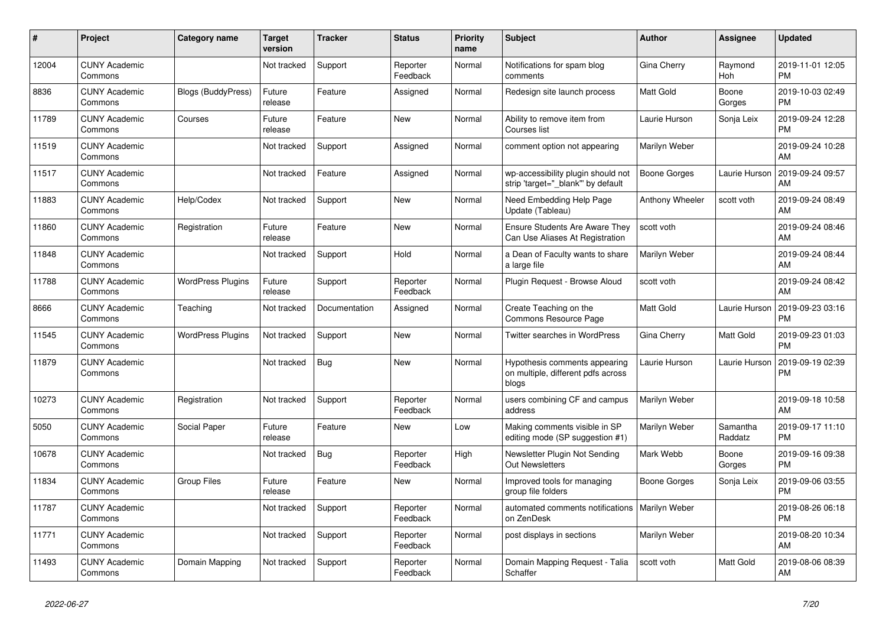| #     | Project                         | <b>Category name</b>      | <b>Target</b><br>version | <b>Tracker</b> | <b>Status</b>        | Priority<br>name | <b>Subject</b>                                                               | <b>Author</b>       | <b>Assignee</b>     | <b>Updated</b>                |
|-------|---------------------------------|---------------------------|--------------------------|----------------|----------------------|------------------|------------------------------------------------------------------------------|---------------------|---------------------|-------------------------------|
| 12004 | <b>CUNY Academic</b><br>Commons |                           | Not tracked              | Support        | Reporter<br>Feedback | Normal           | Notifications for spam blog<br>comments                                      | Gina Cherry         | Raymond<br>Hoh      | 2019-11-01 12:05<br><b>PM</b> |
| 8836  | <b>CUNY Academic</b><br>Commons | <b>Blogs (BuddyPress)</b> | Future<br>release        | Feature        | Assigned             | Normal           | Redesign site launch process                                                 | Matt Gold           | Boone<br>Gorges     | 2019-10-03 02:49<br><b>PM</b> |
| 11789 | <b>CUNY Academic</b><br>Commons | Courses                   | Future<br>release        | Feature        | New                  | Normal           | Ability to remove item from<br>Courses list                                  | Laurie Hurson       | Sonja Leix          | 2019-09-24 12:28<br><b>PM</b> |
| 11519 | <b>CUNY Academic</b><br>Commons |                           | Not tracked              | Support        | Assigned             | Normal           | comment option not appearing                                                 | Marilyn Weber       |                     | 2019-09-24 10:28<br>AM        |
| 11517 | <b>CUNY Academic</b><br>Commons |                           | Not tracked              | Feature        | Assigned             | Normal           | wp-accessibility plugin should not<br>strip 'target=" blank" by default      | <b>Boone Gorges</b> | Laurie Hurson       | 2019-09-24 09:57<br>AM        |
| 11883 | <b>CUNY Academic</b><br>Commons | Help/Codex                | Not tracked              | Support        | New                  | Normal           | Need Embedding Help Page<br>Update (Tableau)                                 | Anthony Wheeler     | scott voth          | 2019-09-24 08:49<br>AM        |
| 11860 | <b>CUNY Academic</b><br>Commons | Registration              | Future<br>release        | Feature        | <b>New</b>           | Normal           | Ensure Students Are Aware They<br>Can Use Aliases At Registration            | scott voth          |                     | 2019-09-24 08:46<br>AM        |
| 11848 | <b>CUNY Academic</b><br>Commons |                           | Not tracked              | Support        | Hold                 | Normal           | a Dean of Faculty wants to share<br>a large file                             | Marilyn Weber       |                     | 2019-09-24 08:44<br>AM        |
| 11788 | <b>CUNY Academic</b><br>Commons | <b>WordPress Plugins</b>  | Future<br>release        | Support        | Reporter<br>Feedback | Normal           | Plugin Request - Browse Aloud                                                | scott voth          |                     | 2019-09-24 08:42<br>AM        |
| 8666  | <b>CUNY Academic</b><br>Commons | Teaching                  | Not tracked              | Documentation  | Assigned             | Normal           | Create Teaching on the<br>Commons Resource Page                              | Matt Gold           | Laurie Hurson       | 2019-09-23 03:16<br><b>PM</b> |
| 11545 | <b>CUNY Academic</b><br>Commons | <b>WordPress Plugins</b>  | Not tracked              | Support        | <b>New</b>           | Normal           | Twitter searches in WordPress                                                | Gina Cherry         | Matt Gold           | 2019-09-23 01:03<br><b>PM</b> |
| 11879 | <b>CUNY Academic</b><br>Commons |                           | Not tracked              | <b>Bug</b>     | <b>New</b>           | Normal           | Hypothesis comments appearing<br>on multiple, different pdfs across<br>blogs | Laurie Hurson       | Laurie Hurson       | 2019-09-19 02:39<br><b>PM</b> |
| 10273 | <b>CUNY Academic</b><br>Commons | Registration              | Not tracked              | Support        | Reporter<br>Feedback | Normal           | users combining CF and campus<br>address                                     | Marilyn Weber       |                     | 2019-09-18 10:58<br>AM        |
| 5050  | <b>CUNY Academic</b><br>Commons | Social Paper              | Future<br>release        | Feature        | <b>New</b>           | Low              | Making comments visible in SP<br>editing mode (SP suggestion #1)             | Marilyn Weber       | Samantha<br>Raddatz | 2019-09-17 11:10<br><b>PM</b> |
| 10678 | <b>CUNY Academic</b><br>Commons |                           | Not tracked              | <b>Bug</b>     | Reporter<br>Feedback | High             | Newsletter Plugin Not Sending<br><b>Out Newsletters</b>                      | Mark Webb           | Boone<br>Gorges     | 2019-09-16 09:38<br><b>PM</b> |
| 11834 | <b>CUNY Academic</b><br>Commons | <b>Group Files</b>        | Future<br>release        | Feature        | <b>New</b>           | Normal           | Improved tools for managing<br>group file folders                            | Boone Gorges        | Sonja Leix          | 2019-09-06 03:55<br><b>PM</b> |
| 11787 | <b>CUNY Academic</b><br>Commons |                           | Not tracked              | Support        | Reporter<br>Feedback | Normal           | automated comments notifications   Marilyn Weber<br>on ZenDesk               |                     |                     | 2019-08-26 06:18<br><b>PM</b> |
| 11771 | <b>CUNY Academic</b><br>Commons |                           | Not tracked              | Support        | Reporter<br>Feedback | Normal           | post displays in sections                                                    | Marilyn Weber       |                     | 2019-08-20 10:34<br>AM        |
| 11493 | <b>CUNY Academic</b><br>Commons | Domain Mapping            | Not tracked              | Support        | Reporter<br>Feedback | Normal           | Domain Mapping Request - Talia<br>Schaffer                                   | scott voth          | Matt Gold           | 2019-08-06 08:39<br>AM        |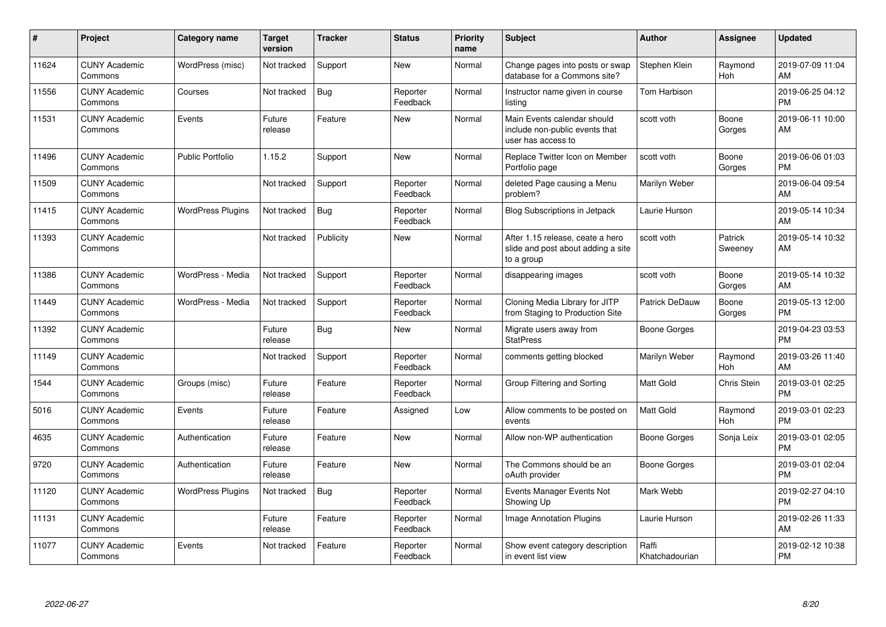| #     | Project                         | <b>Category name</b>     | <b>Target</b><br>version | <b>Tracker</b> | <b>Status</b>        | <b>Priority</b><br>name | <b>Subject</b>                                                                       | <b>Author</b>           | <b>Assignee</b>    | <b>Updated</b>                |
|-------|---------------------------------|--------------------------|--------------------------|----------------|----------------------|-------------------------|--------------------------------------------------------------------------------------|-------------------------|--------------------|-------------------------------|
| 11624 | <b>CUNY Academic</b><br>Commons | WordPress (misc)         | Not tracked              | Support        | <b>New</b>           | Normal                  | Change pages into posts or swap<br>database for a Commons site?                      | Stephen Klein           | Raymond<br>Hoh     | 2019-07-09 11:04<br>AM        |
| 11556 | <b>CUNY Academic</b><br>Commons | Courses                  | Not tracked              | Bug            | Reporter<br>Feedback | Normal                  | Instructor name given in course<br>listing                                           | Tom Harbison            |                    | 2019-06-25 04:12<br><b>PM</b> |
| 11531 | <b>CUNY Academic</b><br>Commons | Events                   | Future<br>release        | Feature        | <b>New</b>           | Normal                  | Main Events calendar should<br>include non-public events that<br>user has access to  | scott voth              | Boone<br>Gorges    | 2019-06-11 10:00<br>AM        |
| 11496 | <b>CUNY Academic</b><br>Commons | <b>Public Portfolio</b>  | 1.15.2                   | Support        | <b>New</b>           | Normal                  | Replace Twitter Icon on Member<br>Portfolio page                                     | scott voth              | Boone<br>Gorges    | 2019-06-06 01:03<br><b>PM</b> |
| 11509 | <b>CUNY Academic</b><br>Commons |                          | Not tracked              | Support        | Reporter<br>Feedback | Normal                  | deleted Page causing a Menu<br>problem?                                              | Marilyn Weber           |                    | 2019-06-04 09:54<br>AM        |
| 11415 | <b>CUNY Academic</b><br>Commons | <b>WordPress Plugins</b> | Not tracked              | Bug            | Reporter<br>Feedback | Normal                  | <b>Blog Subscriptions in Jetpack</b>                                                 | Laurie Hurson           |                    | 2019-05-14 10:34<br>AM        |
| 11393 | <b>CUNY Academic</b><br>Commons |                          | Not tracked              | Publicity      | <b>New</b>           | Normal                  | After 1.15 release, ceate a hero<br>slide and post about adding a site<br>to a group | scott voth              | Patrick<br>Sweeney | 2019-05-14 10:32<br>AM        |
| 11386 | <b>CUNY Academic</b><br>Commons | WordPress - Media        | Not tracked              | Support        | Reporter<br>Feedback | Normal                  | disappearing images                                                                  | scott voth              | Boone<br>Gorges    | 2019-05-14 10:32<br>AM        |
| 11449 | <b>CUNY Academic</b><br>Commons | WordPress - Media        | Not tracked              | Support        | Reporter<br>Feedback | Normal                  | Cloning Media Library for JITP<br>from Staging to Production Site                    | Patrick DeDauw          | Boone<br>Gorges    | 2019-05-13 12:00<br><b>PM</b> |
| 11392 | <b>CUNY Academic</b><br>Commons |                          | Future<br>release        | <b>Bug</b>     | New                  | Normal                  | Migrate users away from<br><b>StatPress</b>                                          | Boone Gorges            |                    | 2019-04-23 03:53<br><b>PM</b> |
| 11149 | <b>CUNY Academic</b><br>Commons |                          | Not tracked              | Support        | Reporter<br>Feedback | Normal                  | comments getting blocked                                                             | Marilyn Weber           | Raymond<br>Hoh     | 2019-03-26 11:40<br>AM        |
| 1544  | <b>CUNY Academic</b><br>Commons | Groups (misc)            | Future<br>release        | Feature        | Reporter<br>Feedback | Normal                  | Group Filtering and Sorting                                                          | Matt Gold               | Chris Stein        | 2019-03-01 02:25<br><b>PM</b> |
| 5016  | <b>CUNY Academic</b><br>Commons | Events                   | Future<br>release        | Feature        | Assigned             | Low                     | Allow comments to be posted on<br>events                                             | <b>Matt Gold</b>        | Raymond<br>Hoh     | 2019-03-01 02:23<br><b>PM</b> |
| 4635  | <b>CUNY Academic</b><br>Commons | Authentication           | Future<br>release        | Feature        | <b>New</b>           | Normal                  | Allow non-WP authentication                                                          | <b>Boone Gorges</b>     | Sonja Leix         | 2019-03-01 02:05<br><b>PM</b> |
| 9720  | <b>CUNY Academic</b><br>Commons | Authentication           | Future<br>release        | Feature        | <b>New</b>           | Normal                  | The Commons should be an<br>oAuth provider                                           | <b>Boone Gorges</b>     |                    | 2019-03-01 02:04<br><b>PM</b> |
| 11120 | <b>CUNY Academic</b><br>Commons | <b>WordPress Plugins</b> | Not tracked              | Bug            | Reporter<br>Feedback | Normal                  | <b>Events Manager Events Not</b><br>Showing Up                                       | Mark Webb               |                    | 2019-02-27 04:10<br><b>PM</b> |
| 11131 | <b>CUNY Academic</b><br>Commons |                          | Future<br>release        | Feature        | Reporter<br>Feedback | Normal                  | <b>Image Annotation Plugins</b>                                                      | Laurie Hurson           |                    | 2019-02-26 11:33<br>AM        |
| 11077 | <b>CUNY Academic</b><br>Commons | Events                   | Not tracked              | Feature        | Reporter<br>Feedback | Normal                  | Show event category description<br>in event list view                                | Raffi<br>Khatchadourian |                    | 2019-02-12 10:38<br><b>PM</b> |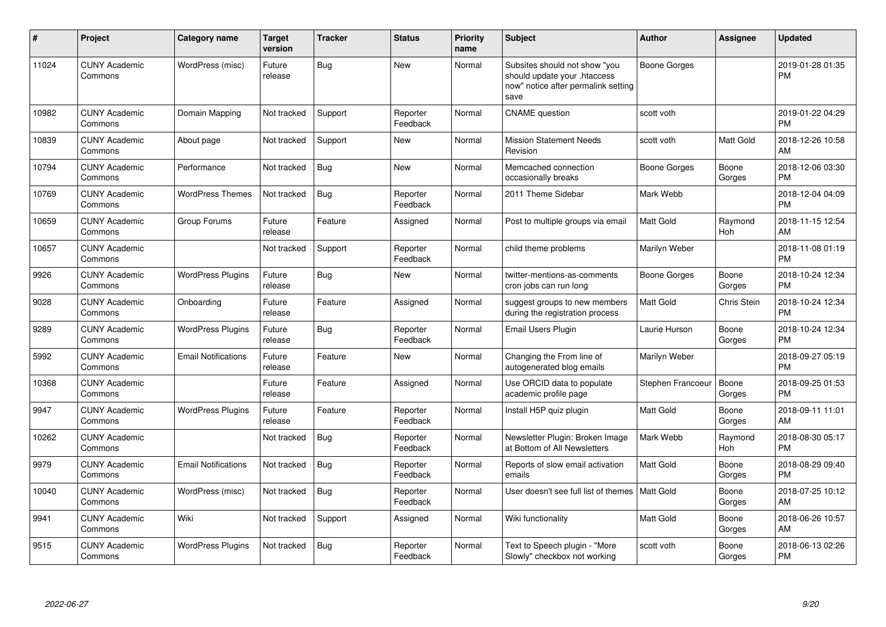| #     | Project                         | <b>Category name</b>       | <b>Target</b><br>version | <b>Tracker</b> | <b>Status</b>        | Priority<br>name | <b>Subject</b>                                                                                               | <b>Author</b>       | <b>Assignee</b> | <b>Updated</b>                |
|-------|---------------------------------|----------------------------|--------------------------|----------------|----------------------|------------------|--------------------------------------------------------------------------------------------------------------|---------------------|-----------------|-------------------------------|
| 11024 | <b>CUNY Academic</b><br>Commons | WordPress (misc)           | Future<br>release        | <b>Bug</b>     | <b>New</b>           | Normal           | Subsites should not show "you<br>should update your .htaccess<br>now" notice after permalink setting<br>save | <b>Boone Gorges</b> |                 | 2019-01-28 01:35<br><b>PM</b> |
| 10982 | <b>CUNY Academic</b><br>Commons | Domain Mapping             | Not tracked              | Support        | Reporter<br>Feedback | Normal           | <b>CNAME</b> question                                                                                        | scott voth          |                 | 2019-01-22 04:29<br><b>PM</b> |
| 10839 | <b>CUNY Academic</b><br>Commons | About page                 | Not tracked              | Support        | <b>New</b>           | Normal           | <b>Mission Statement Needs</b><br>Revision                                                                   | scott voth          | Matt Gold       | 2018-12-26 10:58<br>AM        |
| 10794 | <b>CUNY Academic</b><br>Commons | Performance                | Not tracked              | Bug            | <b>New</b>           | Normal           | Memcached connection<br>occasionally breaks                                                                  | Boone Gorges        | Boone<br>Gorges | 2018-12-06 03:30<br><b>PM</b> |
| 10769 | <b>CUNY Academic</b><br>Commons | <b>WordPress Themes</b>    | Not tracked              | Bug            | Reporter<br>Feedback | Normal           | 2011 Theme Sidebar                                                                                           | Mark Webb           |                 | 2018-12-04 04:09<br><b>PM</b> |
| 10659 | <b>CUNY Academic</b><br>Commons | Group Forums               | Future<br>release        | Feature        | Assigned             | Normal           | Post to multiple groups via email                                                                            | <b>Matt Gold</b>    | Raymond<br>Hoh  | 2018-11-15 12:54<br>AM        |
| 10657 | <b>CUNY Academic</b><br>Commons |                            | Not tracked              | Support        | Reporter<br>Feedback | Normal           | child theme problems                                                                                         | Marilyn Weber       |                 | 2018-11-08 01:19<br><b>PM</b> |
| 9926  | <b>CUNY Academic</b><br>Commons | <b>WordPress Plugins</b>   | Future<br>release        | <b>Bug</b>     | <b>New</b>           | Normal           | twitter-mentions-as-comments<br>cron jobs can run long                                                       | Boone Gorges        | Boone<br>Gorges | 2018-10-24 12:34<br><b>PM</b> |
| 9028  | <b>CUNY Academic</b><br>Commons | Onboarding                 | Future<br>release        | Feature        | Assigned             | Normal           | suggest groups to new members<br>during the registration process                                             | <b>Matt Gold</b>    | Chris Stein     | 2018-10-24 12:34<br><b>PM</b> |
| 9289  | <b>CUNY Academic</b><br>Commons | <b>WordPress Plugins</b>   | Future<br>release        | <b>Bug</b>     | Reporter<br>Feedback | Normal           | <b>Email Users Plugin</b>                                                                                    | Laurie Hurson       | Boone<br>Gorges | 2018-10-24 12:34<br><b>PM</b> |
| 5992  | <b>CUNY Academic</b><br>Commons | <b>Email Notifications</b> | Future<br>release        | Feature        | <b>New</b>           | Normal           | Changing the From line of<br>autogenerated blog emails                                                       | Marilyn Weber       |                 | 2018-09-27 05:19<br><b>PM</b> |
| 10368 | <b>CUNY Academic</b><br>Commons |                            | Future<br>release        | Feature        | Assigned             | Normal           | Use ORCID data to populate<br>academic profile page                                                          | Stephen Francoeur   | Boone<br>Gorges | 2018-09-25 01:53<br><b>PM</b> |
| 9947  | <b>CUNY Academic</b><br>Commons | <b>WordPress Plugins</b>   | Future<br>release        | Feature        | Reporter<br>Feedback | Normal           | Install H5P quiz plugin                                                                                      | Matt Gold           | Boone<br>Gorges | 2018-09-11 11:01<br>AM        |
| 10262 | <b>CUNY Academic</b><br>Commons |                            | Not tracked              | <b>Bug</b>     | Reporter<br>Feedback | Normal           | Newsletter Plugin: Broken Image<br>at Bottom of All Newsletters                                              | Mark Webb           | Raymond<br>Hoh  | 2018-08-30 05:17<br><b>PM</b> |
| 9979  | <b>CUNY Academic</b><br>Commons | <b>Email Notifications</b> | Not tracked              | <b>Bug</b>     | Reporter<br>Feedback | Normal           | Reports of slow email activation<br>emails                                                                   | <b>Matt Gold</b>    | Boone<br>Gorges | 2018-08-29 09:40<br><b>PM</b> |
| 10040 | <b>CUNY Academic</b><br>Commons | WordPress (misc)           | Not tracked              | Bug            | Reporter<br>Feedback | Normal           | User doesn't see full list of themes   Matt Gold                                                             |                     | Boone<br>Gorges | 2018-07-25 10:12<br>AM        |
| 9941  | <b>CUNY Academic</b><br>Commons | Wiki                       | Not tracked              | Support        | Assigned             | Normal           | Wiki functionality                                                                                           | Matt Gold           | Boone<br>Gorges | 2018-06-26 10:57<br>AM        |
| 9515  | <b>CUNY Academic</b><br>Commons | <b>WordPress Plugins</b>   | Not tracked              | Bug            | Reporter<br>Feedback | Normal           | Text to Speech plugin - "More<br>Slowly" checkbox not working                                                | scott voth          | Boone<br>Gorges | 2018-06-13 02:26<br><b>PM</b> |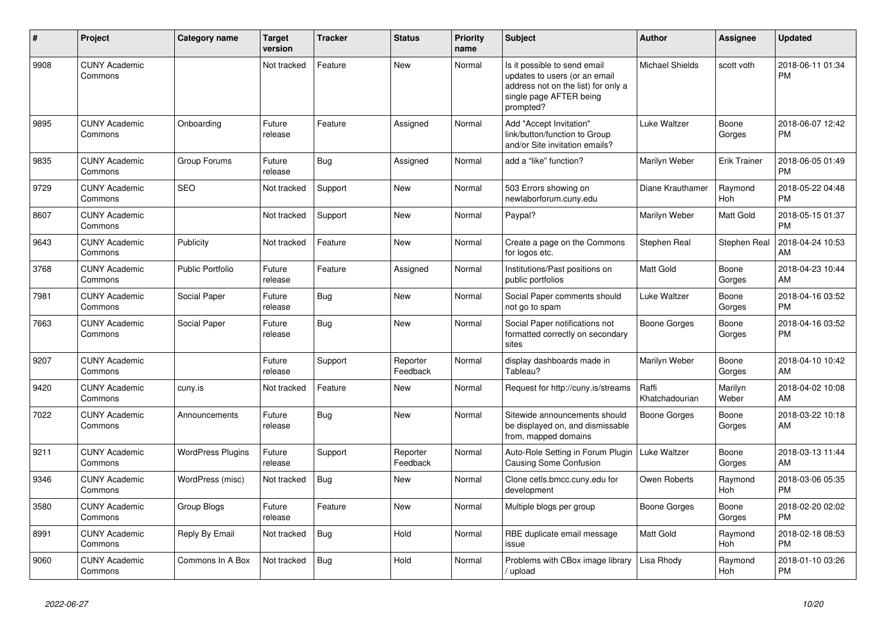| $\#$ | <b>Project</b>                  | <b>Category name</b>     | <b>Target</b><br>version | <b>Tracker</b> | <b>Status</b>        | Priority<br>name | <b>Subject</b>                                                                                                                               | <b>Author</b>           | Assignee              | <b>Updated</b>                |
|------|---------------------------------|--------------------------|--------------------------|----------------|----------------------|------------------|----------------------------------------------------------------------------------------------------------------------------------------------|-------------------------|-----------------------|-------------------------------|
| 9908 | <b>CUNY Academic</b><br>Commons |                          | Not tracked              | Feature        | <b>New</b>           | Normal           | Is it possible to send email<br>updates to users (or an email<br>address not on the list) for only a<br>single page AFTER being<br>prompted? | <b>Michael Shields</b>  | scott voth            | 2018-06-11 01:34<br><b>PM</b> |
| 9895 | <b>CUNY Academic</b><br>Commons | Onboarding               | Future<br>release        | Feature        | Assigned             | Normal           | Add "Accept Invitation"<br>link/button/function to Group<br>and/or Site invitation emails?                                                   | Luke Waltzer            | Boone<br>Gorges       | 2018-06-07 12:42<br><b>PM</b> |
| 9835 | <b>CUNY Academic</b><br>Commons | Group Forums             | Future<br>release        | Bug            | Assigned             | Normal           | add a "like" function?                                                                                                                       | Marilyn Weber           | <b>Erik Trainer</b>   | 2018-06-05 01:49<br><b>PM</b> |
| 9729 | <b>CUNY Academic</b><br>Commons | <b>SEO</b>               | Not tracked              | Support        | <b>New</b>           | Normal           | 503 Errors showing on<br>newlaborforum.cuny.edu                                                                                              | Diane Krauthamer        | Raymond<br><b>Hoh</b> | 2018-05-22 04:48<br><b>PM</b> |
| 8607 | <b>CUNY Academic</b><br>Commons |                          | Not tracked              | Support        | <b>New</b>           | Normal           | Paypal?                                                                                                                                      | Marilyn Weber           | Matt Gold             | 2018-05-15 01:37<br><b>PM</b> |
| 9643 | <b>CUNY Academic</b><br>Commons | Publicity                | Not tracked              | Feature        | <b>New</b>           | Normal           | Create a page on the Commons<br>for logos etc.                                                                                               | Stephen Real            | Stephen Real          | 2018-04-24 10:53<br>AM        |
| 3768 | <b>CUNY Academic</b><br>Commons | <b>Public Portfolio</b>  | Future<br>release        | Feature        | Assigned             | Normal           | Institutions/Past positions on<br>public portfolios                                                                                          | Matt Gold               | Boone<br>Gorges       | 2018-04-23 10:44<br>AM        |
| 7981 | <b>CUNY Academic</b><br>Commons | Social Paper             | Future<br>release        | Bug            | New                  | Normal           | Social Paper comments should<br>not go to spam                                                                                               | <b>Luke Waltzer</b>     | Boone<br>Gorges       | 2018-04-16 03:52<br><b>PM</b> |
| 7663 | <b>CUNY Academic</b><br>Commons | Social Paper             | Future<br>release        | <b>Bug</b>     | <b>New</b>           | Normal           | Social Paper notifications not<br>formatted correctly on secondary<br>sites                                                                  | <b>Boone Gorges</b>     | Boone<br>Gorges       | 2018-04-16 03:52<br><b>PM</b> |
| 9207 | <b>CUNY Academic</b><br>Commons |                          | Future<br>release        | Support        | Reporter<br>Feedback | Normal           | display dashboards made in<br>Tableau?                                                                                                       | Marilyn Weber           | Boone<br>Gorges       | 2018-04-10 10:42<br>AM        |
| 9420 | <b>CUNY Academic</b><br>Commons | cuny.is                  | Not tracked              | Feature        | <b>New</b>           | Normal           | Request for http://cuny.is/streams                                                                                                           | Raffi<br>Khatchadourian | Marilyn<br>Weber      | 2018-04-02 10:08<br>AM        |
| 7022 | <b>CUNY Academic</b><br>Commons | Announcements            | Future<br>release        | Bug            | <b>New</b>           | Normal           | Sitewide announcements should<br>be displayed on, and dismissable<br>from, mapped domains                                                    | Boone Gorges            | Boone<br>Gorges       | 2018-03-22 10:18<br>AM        |
| 9211 | <b>CUNY Academic</b><br>Commons | <b>WordPress Plugins</b> | Future<br>release        | Support        | Reporter<br>Feedback | Normal           | Auto-Role Setting in Forum Plugin  <br><b>Causing Some Confusion</b>                                                                         | Luke Waltzer            | Boone<br>Gorges       | 2018-03-13 11:44<br>AM        |
| 9346 | <b>CUNY Academic</b><br>Commons | WordPress (misc)         | Not tracked              | <b>Bug</b>     | <b>New</b>           | Normal           | Clone cetls.bmcc.cuny.edu for<br>development                                                                                                 | Owen Roberts            | Raymond<br>Hoh        | 2018-03-06 05:35<br><b>PM</b> |
| 3580 | <b>CUNY Academic</b><br>Commons | Group Blogs              | Future<br>release        | Feature        | <b>New</b>           | Normal           | Multiple blogs per group                                                                                                                     | <b>Boone Gorges</b>     | Boone<br>Gorges       | 2018-02-20 02:02<br><b>PM</b> |
| 8991 | <b>CUNY Academic</b><br>Commons | Reply By Email           | Not tracked              | <b>Bug</b>     | Hold                 | Normal           | RBE duplicate email message<br>issue                                                                                                         | Matt Gold               | Raymond<br><b>Hoh</b> | 2018-02-18 08:53<br><b>PM</b> |
| 9060 | <b>CUNY Academic</b><br>Commons | Commons In A Box         | Not tracked              | Bug            | Hold                 | Normal           | Problems with CBox image library<br>/ upload                                                                                                 | Lisa Rhody              | Raymond<br>Hoh        | 2018-01-10 03:26<br><b>PM</b> |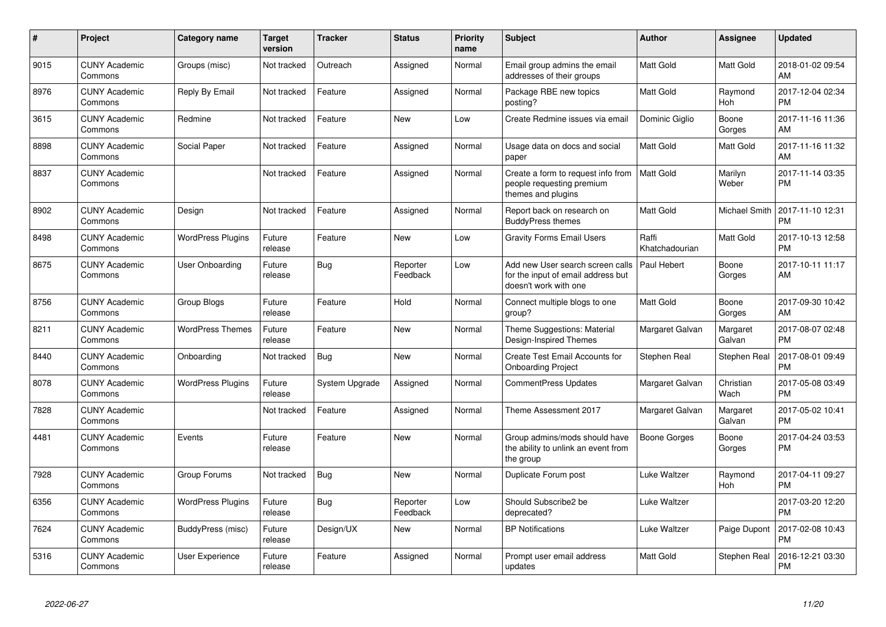| $\#$ | <b>Project</b>                  | Category name            | <b>Target</b><br>version | <b>Tracker</b> | <b>Status</b>        | Priority<br>name | <b>Subject</b>                                                                                  | <b>Author</b>           | <b>Assignee</b>    | <b>Updated</b>                |
|------|---------------------------------|--------------------------|--------------------------|----------------|----------------------|------------------|-------------------------------------------------------------------------------------------------|-------------------------|--------------------|-------------------------------|
| 9015 | <b>CUNY Academic</b><br>Commons | Groups (misc)            | Not tracked              | Outreach       | Assigned             | Normal           | Email group admins the email<br>addresses of their groups                                       | Matt Gold               | Matt Gold          | 2018-01-02 09:54<br>AM        |
| 8976 | <b>CUNY Academic</b><br>Commons | Reply By Email           | Not tracked              | Feature        | Assigned             | Normal           | Package RBE new topics<br>posting?                                                              | Matt Gold               | Raymond<br>Hoh     | 2017-12-04 02:34<br><b>PM</b> |
| 3615 | <b>CUNY Academic</b><br>Commons | Redmine                  | Not tracked              | Feature        | <b>New</b>           | Low              | Create Redmine issues via email                                                                 | Dominic Giglio          | Boone<br>Gorges    | 2017-11-16 11:36<br>AM        |
| 8898 | <b>CUNY Academic</b><br>Commons | Social Paper             | Not tracked              | Feature        | Assigned             | Normal           | Usage data on docs and social<br>paper                                                          | Matt Gold               | Matt Gold          | 2017-11-16 11:32<br>AM        |
| 8837 | <b>CUNY Academic</b><br>Commons |                          | Not tracked              | Feature        | Assigned             | Normal           | Create a form to request info from<br>people requesting premium<br>themes and plugins           | <b>Matt Gold</b>        | Marilyn<br>Weber   | 2017-11-14 03:35<br><b>PM</b> |
| 8902 | <b>CUNY Academic</b><br>Commons | Design                   | Not tracked              | Feature        | Assigned             | Normal           | Report back on research on<br><b>BuddyPress themes</b>                                          | Matt Gold               | Michael Smith      | 2017-11-10 12:31<br><b>PM</b> |
| 8498 | <b>CUNY Academic</b><br>Commons | <b>WordPress Plugins</b> | Future<br>release        | Feature        | <b>New</b>           | Low              | <b>Gravity Forms Email Users</b>                                                                | Raffi<br>Khatchadourian | Matt Gold          | 2017-10-13 12:58<br><b>PM</b> |
| 8675 | <b>CUNY Academic</b><br>Commons | User Onboarding          | Future<br>release        | Bug            | Reporter<br>Feedback | Low              | Add new User search screen calls<br>for the input of email address but<br>doesn't work with one | Paul Hebert             | Boone<br>Gorges    | 2017-10-11 11:17<br>AM        |
| 8756 | <b>CUNY Academic</b><br>Commons | Group Blogs              | Future<br>release        | Feature        | Hold                 | Normal           | Connect multiple blogs to one<br>group?                                                         | Matt Gold               | Boone<br>Gorges    | 2017-09-30 10:42<br>AM        |
| 8211 | <b>CUNY Academic</b><br>Commons | <b>WordPress Themes</b>  | Future<br>release        | Feature        | New                  | Normal           | Theme Suggestions: Material<br>Design-Inspired Themes                                           | Margaret Galvan         | Margaret<br>Galvan | 2017-08-07 02:48<br><b>PM</b> |
| 8440 | <b>CUNY Academic</b><br>Commons | Onboarding               | Not tracked              | Bug            | <b>New</b>           | Normal           | <b>Create Test Email Accounts for</b><br><b>Onboarding Project</b>                              | <b>Stephen Real</b>     | Stephen Real       | 2017-08-01 09:49<br><b>PM</b> |
| 8078 | <b>CUNY Academic</b><br>Commons | <b>WordPress Plugins</b> | Future<br>release        | System Upgrade | Assigned             | Normal           | <b>CommentPress Updates</b>                                                                     | Margaret Galvan         | Christian<br>Wach  | 2017-05-08 03:49<br><b>PM</b> |
| 7828 | <b>CUNY Academic</b><br>Commons |                          | Not tracked              | Feature        | Assigned             | Normal           | Theme Assessment 2017                                                                           | Margaret Galvan         | Margaret<br>Galvan | 2017-05-02 10:41<br><b>PM</b> |
| 4481 | <b>CUNY Academic</b><br>Commons | Events                   | Future<br>release        | Feature        | <b>New</b>           | Normal           | Group admins/mods should have<br>the ability to unlink an event from<br>the group               | Boone Gorges            | Boone<br>Gorges    | 2017-04-24 03:53<br><b>PM</b> |
| 7928 | <b>CUNY Academic</b><br>Commons | Group Forums             | Not tracked              | <b>Bug</b>     | <b>New</b>           | Normal           | Duplicate Forum post                                                                            | Luke Waltzer            | Raymond<br>Hoh     | 2017-04-11 09:27<br><b>PM</b> |
| 6356 | <b>CUNY Academic</b><br>Commons | <b>WordPress Plugins</b> | Future<br>release        | Bug            | Reporter<br>Feedback | Low              | Should Subscribe2 be<br>deprecated?                                                             | Luke Waltzer            |                    | 2017-03-20 12:20<br><b>PM</b> |
| 7624 | <b>CUNY Academic</b><br>Commons | BuddyPress (misc)        | Future<br>release        | Design/UX      | <b>New</b>           | Normal           | <b>BP Notifications</b>                                                                         | Luke Waltzer            | Paige Dupont       | 2017-02-08 10:43<br><b>PM</b> |
| 5316 | <b>CUNY Academic</b><br>Commons | <b>User Experience</b>   | Future<br>release        | Feature        | Assigned             | Normal           | Prompt user email address<br>updates                                                            | Matt Gold               | Stephen Real       | 2016-12-21 03:30<br><b>PM</b> |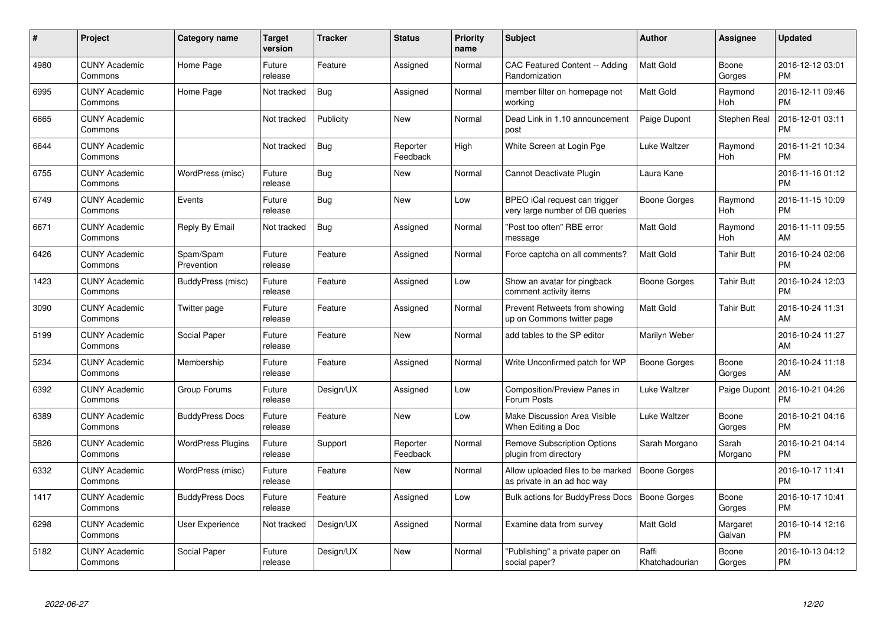| $\#$ | Project                         | Category name            | <b>Target</b><br>version | <b>Tracker</b> | <b>Status</b>        | <b>Priority</b><br>name | <b>Subject</b>                                                   | Author                  | <b>Assignee</b>       | <b>Updated</b>                |
|------|---------------------------------|--------------------------|--------------------------|----------------|----------------------|-------------------------|------------------------------------------------------------------|-------------------------|-----------------------|-------------------------------|
| 4980 | <b>CUNY Academic</b><br>Commons | Home Page                | Future<br>release        | Feature        | Assigned             | Normal                  | CAC Featured Content -- Adding<br>Randomization                  | <b>Matt Gold</b>        | Boone<br>Gorges       | 2016-12-12 03:01<br><b>PM</b> |
| 6995 | <b>CUNY Academic</b><br>Commons | Home Page                | Not tracked              | Bug            | Assigned             | Normal                  | member filter on homepage not<br>working                         | <b>Matt Gold</b>        | Raymond<br><b>Hoh</b> | 2016-12-11 09:46<br><b>PM</b> |
| 6665 | <b>CUNY Academic</b><br>Commons |                          | Not tracked              | Publicity      | <b>New</b>           | Normal                  | Dead Link in 1.10 announcement<br>post                           | Paige Dupont            | Stephen Real          | 2016-12-01 03:11<br><b>PM</b> |
| 6644 | <b>CUNY Academic</b><br>Commons |                          | Not tracked              | <b>Bug</b>     | Reporter<br>Feedback | High                    | White Screen at Login Pge                                        | Luke Waltzer            | Raymond<br>Hoh        | 2016-11-21 10:34<br><b>PM</b> |
| 6755 | <b>CUNY Academic</b><br>Commons | WordPress (misc)         | Future<br>release        | <b>Bug</b>     | <b>New</b>           | Normal                  | Cannot Deactivate Plugin                                         | Laura Kane              |                       | 2016-11-16 01:12<br><b>PM</b> |
| 6749 | <b>CUNY Academic</b><br>Commons | Events                   | Future<br>release        | <b>Bug</b>     | <b>New</b>           | Low                     | BPEO iCal request can trigger<br>very large number of DB queries | <b>Boone Gorges</b>     | Raymond<br>Hoh        | 2016-11-15 10:09<br><b>PM</b> |
| 6671 | <b>CUNY Academic</b><br>Commons | Reply By Email           | Not tracked              | <b>Bug</b>     | Assigned             | Normal                  | 'Post too often" RBE error<br>message                            | <b>Matt Gold</b>        | Raymond<br><b>Hoh</b> | 2016-11-11 09:55<br>AM        |
| 6426 | <b>CUNY Academic</b><br>Commons | Spam/Spam<br>Prevention  | Future<br>release        | Feature        | Assigned             | Normal                  | Force captcha on all comments?                                   | <b>Matt Gold</b>        | <b>Tahir Butt</b>     | 2016-10-24 02:06<br><b>PM</b> |
| 1423 | <b>CUNY Academic</b><br>Commons | BuddyPress (misc)        | Future<br>release        | Feature        | Assigned             | Low                     | Show an avatar for pingback<br>comment activity items            | <b>Boone Gorges</b>     | <b>Tahir Butt</b>     | 2016-10-24 12:03<br><b>PM</b> |
| 3090 | <b>CUNY Academic</b><br>Commons | Twitter page             | Future<br>release        | Feature        | Assigned             | Normal                  | Prevent Retweets from showing<br>up on Commons twitter page      | <b>Matt Gold</b>        | <b>Tahir Butt</b>     | 2016-10-24 11:31<br>AM        |
| 5199 | <b>CUNY Academic</b><br>Commons | Social Paper             | Future<br>release        | Feature        | <b>New</b>           | Normal                  | add tables to the SP editor                                      | Marilyn Weber           |                       | 2016-10-24 11:27<br>AM        |
| 5234 | <b>CUNY Academic</b><br>Commons | Membership               | Future<br>release        | Feature        | Assigned             | Normal                  | Write Unconfirmed patch for WP                                   | Boone Gorges            | Boone<br>Gorges       | 2016-10-24 11:18<br>AM        |
| 6392 | <b>CUNY Academic</b><br>Commons | Group Forums             | Future<br>release        | Design/UX      | Assigned             | Low                     | Composition/Preview Panes in<br>Forum Posts                      | Luke Waltzer            | Paige Dupont          | 2016-10-21 04:26<br><b>PM</b> |
| 6389 | <b>CUNY Academic</b><br>Commons | <b>BuddyPress Docs</b>   | Future<br>release        | Feature        | <b>New</b>           | Low                     | Make Discussion Area Visible<br>When Editing a Doc               | Luke Waltzer            | Boone<br>Gorges       | 2016-10-21 04:16<br><b>PM</b> |
| 5826 | <b>CUNY Academic</b><br>Commons | <b>WordPress Plugins</b> | Future<br>release        | Support        | Reporter<br>Feedback | Normal                  | <b>Remove Subscription Options</b><br>plugin from directory      | Sarah Morgano           | Sarah<br>Morgano      | 2016-10-21 04:14<br><b>PM</b> |
| 6332 | <b>CUNY Academic</b><br>Commons | WordPress (misc)         | Future<br>release        | Feature        | <b>New</b>           | Normal                  | Allow uploaded files to be marked<br>as private in an ad hoc way | <b>Boone Gorges</b>     |                       | 2016-10-17 11:41<br><b>PM</b> |
| 1417 | <b>CUNY Academic</b><br>Commons | <b>BuddyPress Docs</b>   | Future<br>release        | Feature        | Assigned             | Low                     | <b>Bulk actions for BuddyPress Docs</b>                          | <b>Boone Gorges</b>     | Boone<br>Gorges       | 2016-10-17 10:41<br><b>PM</b> |
| 6298 | <b>CUNY Academic</b><br>Commons | User Experience          | Not tracked              | Design/UX      | Assigned             | Normal                  | Examine data from survey                                         | <b>Matt Gold</b>        | Margaret<br>Galvan    | 2016-10-14 12:16<br><b>PM</b> |
| 5182 | <b>CUNY Academic</b><br>Commons | Social Paper             | Future<br>release        | Design/UX      | <b>New</b>           | Normal                  | 'Publishing" a private paper on<br>social paper?                 | Raffi<br>Khatchadourian | Boone<br>Gorges       | 2016-10-13 04:12<br>PM        |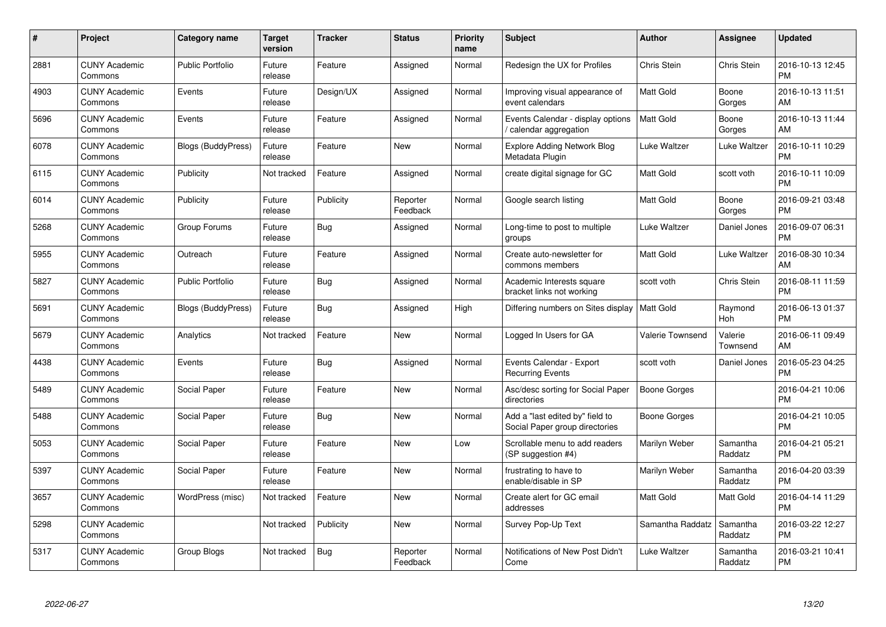| #    | Project                         | Category name           | <b>Target</b><br>version | <b>Tracker</b> | <b>Status</b>        | <b>Priority</b><br>name | <b>Subject</b>                                                    | <b>Author</b>       | <b>Assignee</b>     | <b>Updated</b>                |
|------|---------------------------------|-------------------------|--------------------------|----------------|----------------------|-------------------------|-------------------------------------------------------------------|---------------------|---------------------|-------------------------------|
| 2881 | <b>CUNY Academic</b><br>Commons | <b>Public Portfolio</b> | Future<br>release        | Feature        | Assigned             | Normal                  | Redesign the UX for Profiles                                      | Chris Stein         | Chris Stein         | 2016-10-13 12:45<br><b>PM</b> |
| 4903 | <b>CUNY Academic</b><br>Commons | Events                  | Future<br>release        | Design/UX      | Assigned             | Normal                  | Improving visual appearance of<br>event calendars                 | <b>Matt Gold</b>    | Boone<br>Gorges     | 2016-10-13 11:51<br>AM        |
| 5696 | <b>CUNY Academic</b><br>Commons | Events                  | Future<br>release        | Feature        | Assigned             | Normal                  | Events Calendar - display options<br>calendar aggregation         | <b>Matt Gold</b>    | Boone<br>Gorges     | 2016-10-13 11:44<br>AM        |
| 6078 | <b>CUNY Academic</b><br>Commons | Blogs (BuddyPress)      | Future<br>release        | Feature        | New                  | Normal                  | Explore Adding Network Blog<br>Metadata Plugin                    | Luke Waltzer        | Luke Waltzer        | 2016-10-11 10:29<br><b>PM</b> |
| 6115 | <b>CUNY Academic</b><br>Commons | Publicity               | Not tracked              | Feature        | Assigned             | Normal                  | create digital signage for GC                                     | <b>Matt Gold</b>    | scott voth          | 2016-10-11 10:09<br><b>PM</b> |
| 6014 | <b>CUNY Academic</b><br>Commons | Publicity               | Future<br>release        | Publicity      | Reporter<br>Feedback | Normal                  | Google search listing                                             | <b>Matt Gold</b>    | Boone<br>Gorges     | 2016-09-21 03:48<br><b>PM</b> |
| 5268 | <b>CUNY Academic</b><br>Commons | Group Forums            | Future<br>release        | Bug            | Assigned             | Normal                  | Long-time to post to multiple<br>groups                           | Luke Waltzer        | Daniel Jones        | 2016-09-07 06:31<br><b>PM</b> |
| 5955 | <b>CUNY Academic</b><br>Commons | Outreach                | Future<br>release        | Feature        | Assigned             | Normal                  | Create auto-newsletter for<br>commons members                     | Matt Gold           | Luke Waltzer        | 2016-08-30 10:34<br>AM        |
| 5827 | <b>CUNY Academic</b><br>Commons | <b>Public Portfolio</b> | Future<br>release        | <b>Bug</b>     | Assigned             | Normal                  | Academic Interests square<br>bracket links not working            | scott voth          | Chris Stein         | 2016-08-11 11:59<br><b>PM</b> |
| 5691 | <b>CUNY Academic</b><br>Commons | Blogs (BuddyPress)      | Future<br>release        | <b>Bug</b>     | Assigned             | High                    | Differing numbers on Sites display   Matt Gold                    |                     | Raymond<br>Hoh      | 2016-06-13 01:37<br><b>PM</b> |
| 5679 | <b>CUNY Academic</b><br>Commons | Analytics               | Not tracked              | Feature        | New                  | Normal                  | Logged In Users for GA                                            | Valerie Townsend    | Valerie<br>Townsend | 2016-06-11 09:49<br>AM        |
| 4438 | <b>CUNY Academic</b><br>Commons | Events                  | Future<br>release        | Bug            | Assigned             | Normal                  | Events Calendar - Export<br><b>Recurring Events</b>               | scott voth          | Daniel Jones        | 2016-05-23 04:25<br><b>PM</b> |
| 5489 | <b>CUNY Academic</b><br>Commons | Social Paper            | Future<br>release        | Feature        | <b>New</b>           | Normal                  | Asc/desc sorting for Social Paper<br>directories                  | <b>Boone Gorges</b> |                     | 2016-04-21 10:06<br><b>PM</b> |
| 5488 | <b>CUNY Academic</b><br>Commons | Social Paper            | Future<br>release        | <b>Bug</b>     | <b>New</b>           | Normal                  | Add a "last edited by" field to<br>Social Paper group directories | Boone Gorges        |                     | 2016-04-21 10:05<br><b>PM</b> |
| 5053 | <b>CUNY Academic</b><br>Commons | Social Paper            | Future<br>release        | Feature        | <b>New</b>           | Low                     | Scrollable menu to add readers<br>(SP suggestion #4)              | Marilyn Weber       | Samantha<br>Raddatz | 2016-04-21 05:21<br><b>PM</b> |
| 5397 | <b>CUNY Academic</b><br>Commons | Social Paper            | Future<br>release        | Feature        | New                  | Normal                  | frustrating to have to<br>enable/disable in SP                    | Marilyn Weber       | Samantha<br>Raddatz | 2016-04-20 03:39<br><b>PM</b> |
| 3657 | <b>CUNY Academic</b><br>Commons | WordPress (misc)        | Not tracked              | Feature        | <b>New</b>           | Normal                  | Create alert for GC email<br>addresses                            | <b>Matt Gold</b>    | <b>Matt Gold</b>    | 2016-04-14 11:29<br><b>PM</b> |
| 5298 | <b>CUNY Academic</b><br>Commons |                         | Not tracked              | Publicity      | <b>New</b>           | Normal                  | Survey Pop-Up Text                                                | Samantha Raddatz    | Samantha<br>Raddatz | 2016-03-22 12:27<br><b>PM</b> |
| 5317 | <b>CUNY Academic</b><br>Commons | Group Blogs             | Not tracked              | <b>Bug</b>     | Reporter<br>Feedback | Normal                  | Notifications of New Post Didn't<br>Come                          | Luke Waltzer        | Samantha<br>Raddatz | 2016-03-21 10:41<br><b>PM</b> |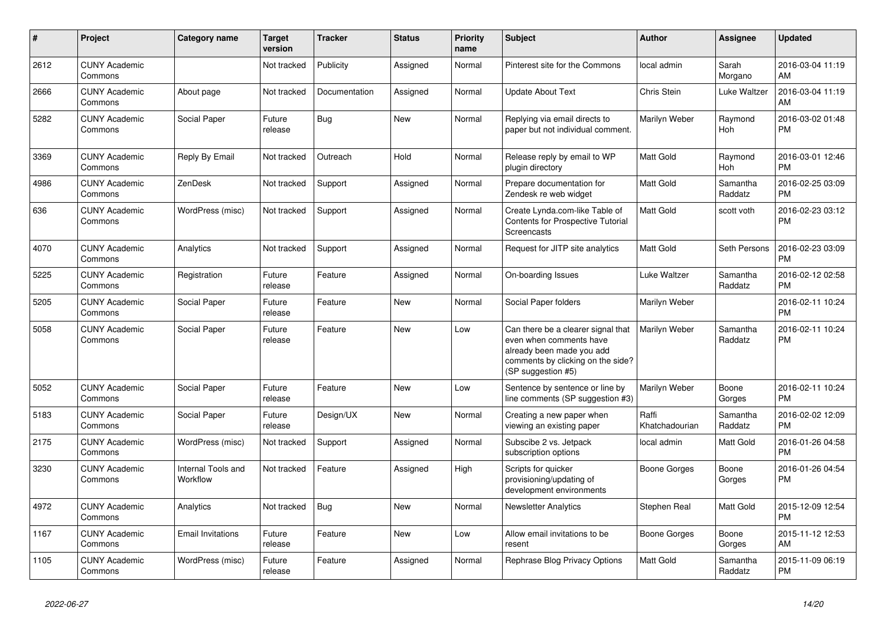| #    | <b>Project</b>                  | Category name                  | <b>Target</b><br>version | Tracker       | <b>Status</b> | <b>Priority</b><br>name | <b>Subject</b>                                                                                                                                        | <b>Author</b>           | <b>Assignee</b>     | <b>Updated</b>                |
|------|---------------------------------|--------------------------------|--------------------------|---------------|---------------|-------------------------|-------------------------------------------------------------------------------------------------------------------------------------------------------|-------------------------|---------------------|-------------------------------|
| 2612 | <b>CUNY Academic</b><br>Commons |                                | Not tracked              | Publicity     | Assigned      | Normal                  | Pinterest site for the Commons                                                                                                                        | local admin             | Sarah<br>Morgano    | 2016-03-04 11:19<br>AM        |
| 2666 | <b>CUNY Academic</b><br>Commons | About page                     | Not tracked              | Documentation | Assigned      | Normal                  | Update About Text                                                                                                                                     | <b>Chris Stein</b>      | Luke Waltzer        | 2016-03-04 11:19<br>AM        |
| 5282 | <b>CUNY Academic</b><br>Commons | Social Paper                   | Future<br>release        | <b>Bug</b>    | <b>New</b>    | Normal                  | Replying via email directs to<br>paper but not individual comment.                                                                                    | Marilyn Weber           | Raymond<br>Hoh      | 2016-03-02 01:48<br><b>PM</b> |
| 3369 | <b>CUNY Academic</b><br>Commons | Reply By Email                 | Not tracked              | Outreach      | Hold          | Normal                  | Release reply by email to WP<br>plugin directory                                                                                                      | Matt Gold               | Raymond<br>Hoh      | 2016-03-01 12:46<br><b>PM</b> |
| 4986 | <b>CUNY Academic</b><br>Commons | ZenDesk                        | Not tracked              | Support       | Assigned      | Normal                  | Prepare documentation for<br>Zendesk re web widget                                                                                                    | <b>Matt Gold</b>        | Samantha<br>Raddatz | 2016-02-25 03:09<br><b>PM</b> |
| 636  | <b>CUNY Academic</b><br>Commons | WordPress (misc)               | Not tracked              | Support       | Assigned      | Normal                  | Create Lynda.com-like Table of<br>Contents for Prospective Tutorial<br>Screencasts                                                                    | <b>Matt Gold</b>        | scott voth          | 2016-02-23 03:12<br><b>PM</b> |
| 4070 | <b>CUNY Academic</b><br>Commons | Analytics                      | Not tracked              | Support       | Assigned      | Normal                  | Request for JITP site analytics                                                                                                                       | <b>Matt Gold</b>        | Seth Persons        | 2016-02-23 03:09<br><b>PM</b> |
| 5225 | <b>CUNY Academic</b><br>Commons | Registration                   | Future<br>release        | Feature       | Assigned      | Normal                  | On-boarding Issues                                                                                                                                    | Luke Waltzer            | Samantha<br>Raddatz | 2016-02-12 02:58<br><b>PM</b> |
| 5205 | <b>CUNY Academic</b><br>Commons | Social Paper                   | Future<br>release        | Feature       | <b>New</b>    | Normal                  | Social Paper folders                                                                                                                                  | Marilyn Weber           |                     | 2016-02-11 10:24<br>PM        |
| 5058 | <b>CUNY Academic</b><br>Commons | Social Paper                   | Future<br>release        | Feature       | <b>New</b>    | Low                     | Can there be a clearer signal that<br>even when comments have<br>already been made you add<br>comments by clicking on the side?<br>(SP suggestion #5) | Marilyn Weber           | Samantha<br>Raddatz | 2016-02-11 10:24<br><b>PM</b> |
| 5052 | <b>CUNY Academic</b><br>Commons | Social Paper                   | Future<br>release        | Feature       | <b>New</b>    | Low                     | Sentence by sentence or line by<br>line comments (SP suggestion #3)                                                                                   | Marilyn Weber           | Boone<br>Gorges     | 2016-02-11 10:24<br><b>PM</b> |
| 5183 | <b>CUNY Academic</b><br>Commons | Social Paper                   | Future<br>release        | Design/UX     | <b>New</b>    | Normal                  | Creating a new paper when<br>viewing an existing paper                                                                                                | Raffi<br>Khatchadourian | Samantha<br>Raddatz | 2016-02-02 12:09<br><b>PM</b> |
| 2175 | <b>CUNY Academic</b><br>Commons | WordPress (misc)               | Not tracked              | Support       | Assigned      | Normal                  | Subscibe 2 vs. Jetpack<br>subscription options                                                                                                        | local admin             | Matt Gold           | 2016-01-26 04:58<br><b>PM</b> |
| 3230 | <b>CUNY Academic</b><br>Commons | Internal Tools and<br>Workflow | Not tracked              | Feature       | Assigned      | High                    | Scripts for quicker<br>provisioning/updating of<br>development environments                                                                           | Boone Gorges            | Boone<br>Gorges     | 2016-01-26 04:54<br><b>PM</b> |
| 4972 | <b>CUNY Academic</b><br>Commons | Analytics                      | Not tracked              | Bug           | New           | Normal                  | <b>Newsletter Analytics</b>                                                                                                                           | Stephen Real            | Matt Gold           | 2015-12-09 12:54<br><b>PM</b> |
| 1167 | <b>CUNY Academic</b><br>Commons | <b>Email Invitations</b>       | Future<br>release        | Feature       | <b>New</b>    | Low                     | Allow email invitations to be<br>resent                                                                                                               | Boone Gorges            | Boone<br>Gorges     | 2015-11-12 12:53<br>AM        |
| 1105 | <b>CUNY Academic</b><br>Commons | WordPress (misc)               | Future<br>release        | Feature       | Assigned      | Normal                  | Rephrase Blog Privacy Options                                                                                                                         | <b>Matt Gold</b>        | Samantha<br>Raddatz | 2015-11-09 06:19<br><b>PM</b> |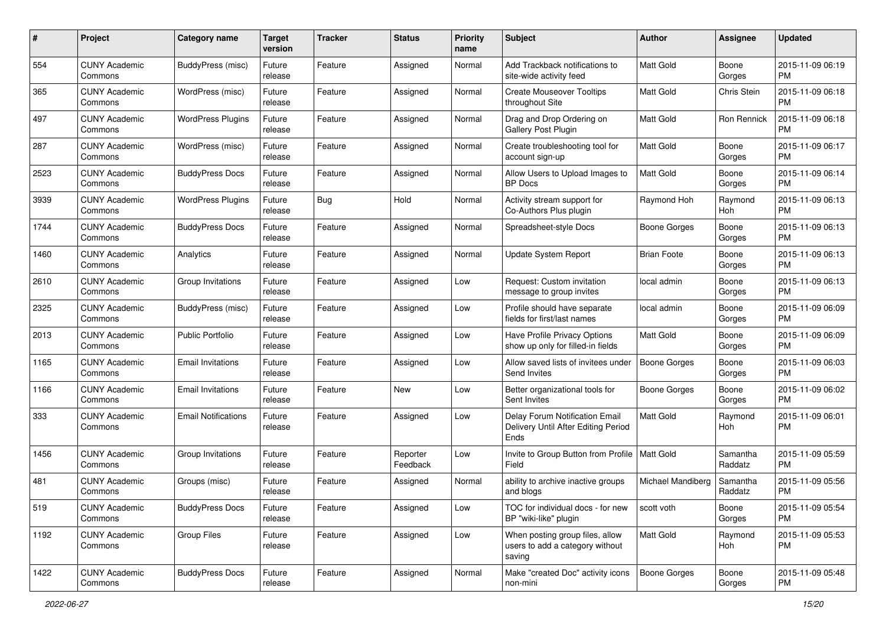| #    | Project                         | <b>Category name</b>       | <b>Target</b><br>version | <b>Tracker</b> | <b>Status</b>        | <b>Priority</b><br>name | <b>Subject</b>                                                                | Author              | <b>Assignee</b>     | <b>Updated</b>                |
|------|---------------------------------|----------------------------|--------------------------|----------------|----------------------|-------------------------|-------------------------------------------------------------------------------|---------------------|---------------------|-------------------------------|
| 554  | <b>CUNY Academic</b><br>Commons | BuddyPress (misc)          | Future<br>release        | Feature        | Assigned             | Normal                  | Add Trackback notifications to<br>site-wide activity feed                     | <b>Matt Gold</b>    | Boone<br>Gorges     | 2015-11-09 06:19<br><b>PM</b> |
| 365  | <b>CUNY Academic</b><br>Commons | WordPress (misc)           | Future<br>release        | Feature        | Assigned             | Normal                  | <b>Create Mouseover Tooltips</b><br>throughout Site                           | <b>Matt Gold</b>    | Chris Stein         | 2015-11-09 06:18<br><b>PM</b> |
| 497  | CUNY Academic<br>Commons        | <b>WordPress Plugins</b>   | Future<br>release        | Feature        | Assigned             | Normal                  | Drag and Drop Ordering on<br>Gallery Post Plugin                              | Matt Gold           | Ron Rennick         | 2015-11-09 06:18<br><b>PM</b> |
| 287  | <b>CUNY Academic</b><br>Commons | WordPress (misc)           | Future<br>release        | Feature        | Assigned             | Normal                  | Create troubleshooting tool for<br>account sign-up                            | <b>Matt Gold</b>    | Boone<br>Gorges     | 2015-11-09 06:17<br><b>PM</b> |
| 2523 | <b>CUNY Academic</b><br>Commons | <b>BuddyPress Docs</b>     | Future<br>release        | Feature        | Assigned             | Normal                  | Allow Users to Upload Images to<br><b>BP</b> Docs                             | <b>Matt Gold</b>    | Boone<br>Gorges     | 2015-11-09 06:14<br><b>PM</b> |
| 3939 | <b>CUNY Academic</b><br>Commons | <b>WordPress Plugins</b>   | Future<br>release        | <b>Bug</b>     | Hold                 | Normal                  | Activity stream support for<br>Co-Authors Plus plugin                         | Raymond Hoh         | Raymond<br>Hoh      | 2015-11-09 06:13<br><b>PM</b> |
| 1744 | <b>CUNY Academic</b><br>Commons | <b>BuddyPress Docs</b>     | Future<br>release        | Feature        | Assigned             | Normal                  | Spreadsheet-style Docs                                                        | <b>Boone Gorges</b> | Boone<br>Gorges     | 2015-11-09 06:13<br><b>PM</b> |
| 1460 | <b>CUNY Academic</b><br>Commons | Analytics                  | Future<br>release        | Feature        | Assigned             | Normal                  | Update System Report                                                          | <b>Brian Foote</b>  | Boone<br>Gorges     | 2015-11-09 06:13<br><b>PM</b> |
| 2610 | <b>CUNY Academic</b><br>Commons | Group Invitations          | Future<br>release        | Feature        | Assigned             | Low                     | Request: Custom invitation<br>message to group invites                        | local admin         | Boone<br>Gorges     | 2015-11-09 06:13<br><b>PM</b> |
| 2325 | <b>CUNY Academic</b><br>Commons | BuddyPress (misc)          | Future<br>release        | Feature        | Assigned             | Low                     | Profile should have separate<br>fields for first/last names                   | local admin         | Boone<br>Gorges     | 2015-11-09 06:09<br><b>PM</b> |
| 2013 | <b>CUNY Academic</b><br>Commons | Public Portfolio           | Future<br>release        | Feature        | Assigned             | Low                     | Have Profile Privacy Options<br>show up only for filled-in fields             | <b>Matt Gold</b>    | Boone<br>Gorges     | 2015-11-09 06:09<br><b>PM</b> |
| 1165 | <b>CUNY Academic</b><br>Commons | <b>Email Invitations</b>   | Future<br>release        | Feature        | Assigned             | Low                     | Allow saved lists of invitees under<br>Send Invites                           | <b>Boone Gorges</b> | Boone<br>Gorges     | 2015-11-09 06:03<br><b>PM</b> |
| 1166 | <b>CUNY Academic</b><br>Commons | <b>Email Invitations</b>   | Future<br>release        | Feature        | New                  | Low                     | Better organizational tools for<br>Sent Invites                               | <b>Boone Gorges</b> | Boone<br>Gorges     | 2015-11-09 06:02<br><b>PM</b> |
| 333  | <b>CUNY Academic</b><br>Commons | <b>Email Notifications</b> | Future<br>release        | Feature        | Assigned             | Low                     | Delay Forum Notification Email<br>Delivery Until After Editing Period<br>Ends | Matt Gold           | Raymond<br>Hoh      | 2015-11-09 06:01<br><b>PM</b> |
| 1456 | <b>CUNY Academic</b><br>Commons | Group Invitations          | Future<br>release        | Feature        | Reporter<br>Feedback | Low                     | Invite to Group Button from Profile   Matt Gold<br>Field                      |                     | Samantha<br>Raddatz | 2015-11-09 05:59<br><b>PM</b> |
| 481  | <b>CUNY Academic</b><br>Commons | Groups (misc)              | Future<br>release        | Feature        | Assigned             | Normal                  | ability to archive inactive groups<br>and blogs                               | Michael Mandiberg   | Samantha<br>Raddatz | 2015-11-09 05:56<br><b>PM</b> |
| 519  | <b>CUNY Academic</b><br>Commons | <b>BuddyPress Docs</b>     | Future<br>release        | Feature        | Assigned             | Low                     | TOC for individual docs - for new<br>BP "wiki-like" plugin                    | scott voth          | Boone<br>Gorges     | 2015-11-09 05:54<br>PM        |
| 1192 | <b>CUNY Academic</b><br>Commons | Group Files                | Future<br>release        | Feature        | Assigned             | Low                     | When posting group files, allow<br>users to add a category without<br>saving  | Matt Gold           | Raymond<br>Hoh      | 2015-11-09 05:53<br><b>PM</b> |
| 1422 | <b>CUNY Academic</b><br>Commons | <b>BuddyPress Docs</b>     | Future<br>release        | Feature        | Assigned             | Normal                  | Make "created Doc" activity icons<br>non-mini                                 | Boone Gorges        | Boone<br>Gorges     | 2015-11-09 05:48<br>PM        |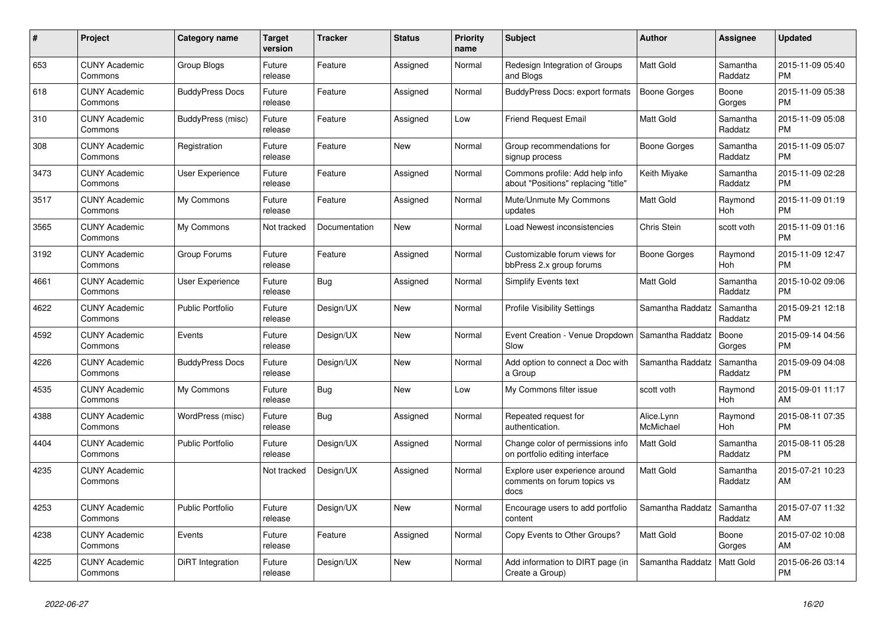| $\pmb{\#}$ | <b>Project</b>                  | Category name           | <b>Target</b><br>version | <b>Tracker</b> | <b>Status</b> | <b>Priority</b><br>name | <b>Subject</b>                                                        | <b>Author</b>           | <b>Assignee</b>       | <b>Updated</b>                |
|------------|---------------------------------|-------------------------|--------------------------|----------------|---------------|-------------------------|-----------------------------------------------------------------------|-------------------------|-----------------------|-------------------------------|
| 653        | <b>CUNY Academic</b><br>Commons | Group Blogs             | Future<br>release        | Feature        | Assigned      | Normal                  | Redesign Integration of Groups<br>and Blogs                           | <b>Matt Gold</b>        | Samantha<br>Raddatz   | 2015-11-09 05:40<br><b>PM</b> |
| 618        | <b>CUNY Academic</b><br>Commons | <b>BuddyPress Docs</b>  | Future<br>release        | Feature        | Assigned      | Normal                  | BuddyPress Docs: export formats                                       | Boone Gorges            | Boone<br>Gorges       | 2015-11-09 05:38<br><b>PM</b> |
| 310        | <b>CUNY Academic</b><br>Commons | BuddyPress (misc)       | Future<br>release        | Feature        | Assigned      | Low                     | Friend Request Email                                                  | Matt Gold               | Samantha<br>Raddatz   | 2015-11-09 05:08<br><b>PM</b> |
| 308        | <b>CUNY Academic</b><br>Commons | Registration            | Future<br>release        | Feature        | <b>New</b>    | Normal                  | Group recommendations for<br>signup process                           | Boone Gorges            | Samantha<br>Raddatz   | 2015-11-09 05:07<br><b>PM</b> |
| 3473       | <b>CUNY Academic</b><br>Commons | User Experience         | Future<br>release        | Feature        | Assigned      | Normal                  | Commons profile: Add help info<br>about "Positions" replacing "title" | Keith Miyake            | Samantha<br>Raddatz   | 2015-11-09 02:28<br><b>PM</b> |
| 3517       | <b>CUNY Academic</b><br>Commons | My Commons              | Future<br>release        | Feature        | Assigned      | Normal                  | Mute/Unmute My Commons<br>updates                                     | Matt Gold               | Raymond<br>Hoh        | 2015-11-09 01:19<br><b>PM</b> |
| 3565       | <b>CUNY Academic</b><br>Commons | My Commons              | Not tracked              | Documentation  | <b>New</b>    | Normal                  | Load Newest inconsistencies                                           | Chris Stein             | scott voth            | 2015-11-09 01:16<br><b>PM</b> |
| 3192       | <b>CUNY Academic</b><br>Commons | Group Forums            | Future<br>release        | Feature        | Assigned      | Normal                  | Customizable forum views for<br>bbPress 2.x group forums              | Boone Gorges            | Raymond<br>Hoh        | 2015-11-09 12:47<br><b>PM</b> |
| 4661       | <b>CUNY Academic</b><br>Commons | <b>User Experience</b>  | Future<br>release        | <b>Bug</b>     | Assigned      | Normal                  | <b>Simplify Events text</b>                                           | Matt Gold               | Samantha<br>Raddatz   | 2015-10-02 09:06<br><b>PM</b> |
| 4622       | <b>CUNY Academic</b><br>Commons | <b>Public Portfolio</b> | Future<br>release        | Design/UX      | New           | Normal                  | <b>Profile Visibility Settings</b>                                    | Samantha Raddatz        | Samantha<br>Raddatz   | 2015-09-21 12:18<br><b>PM</b> |
| 4592       | <b>CUNY Academic</b><br>Commons | Events                  | Future<br>release        | Design/UX      | <b>New</b>    | Normal                  | Event Creation - Venue Dropdown<br>Slow                               | Samantha Raddatz        | Boone<br>Gorges       | 2015-09-14 04:56<br><b>PM</b> |
| 4226       | <b>CUNY Academic</b><br>Commons | <b>BuddyPress Docs</b>  | Future<br>release        | Design/UX      | <b>New</b>    | Normal                  | Add option to connect a Doc with<br>a Group                           | Samantha Raddatz        | Samantha<br>Raddatz   | 2015-09-09 04:08<br><b>PM</b> |
| 4535       | <b>CUNY Academic</b><br>Commons | My Commons              | Future<br>release        | <b>Bug</b>     | New           | Low                     | My Commons filter issue                                               | scott voth              | Raymond<br>Hoh        | 2015-09-01 11:17<br>AM        |
| 4388       | <b>CUNY Academic</b><br>Commons | WordPress (misc)        | Future<br>release        | Bug            | Assigned      | Normal                  | Repeated request for<br>authentication.                               | Alice.Lynn<br>McMichael | Raymond<br><b>Hoh</b> | 2015-08-11 07:35<br><b>PM</b> |
| 4404       | <b>CUNY Academic</b><br>Commons | <b>Public Portfolio</b> | Future<br>release        | Design/UX      | Assigned      | Normal                  | Change color of permissions info<br>on portfolio editing interface    | <b>Matt Gold</b>        | Samantha<br>Raddatz   | 2015-08-11 05:28<br><b>PM</b> |
| 4235       | <b>CUNY Academic</b><br>Commons |                         | Not tracked              | Design/UX      | Assigned      | Normal                  | Explore user experience around<br>comments on forum topics vs<br>docs | <b>Matt Gold</b>        | Samantha<br>Raddatz   | 2015-07-21 10:23<br>AM        |
| 4253       | <b>CUNY Academic</b><br>Commons | <b>Public Portfolio</b> | Future<br>release        | Design/UX      | <b>New</b>    | Normal                  | Encourage users to add portfolio<br>content                           | Samantha Raddatz        | Samantha<br>Raddatz   | 2015-07-07 11:32<br>AM        |
| 4238       | <b>CUNY Academic</b><br>Commons | Events                  | Future<br>release        | Feature        | Assigned      | Normal                  | Copy Events to Other Groups?                                          | <b>Matt Gold</b>        | Boone<br>Gorges       | 2015-07-02 10:08<br>AM        |
| 4225       | <b>CUNY Academic</b><br>Commons | DiRT Integration        | Future<br>release        | Design/UX      | <b>New</b>    | Normal                  | Add information to DIRT page (in<br>Create a Group)                   | Samantha Raddatz        | <b>Matt Gold</b>      | 2015-06-26 03:14<br><b>PM</b> |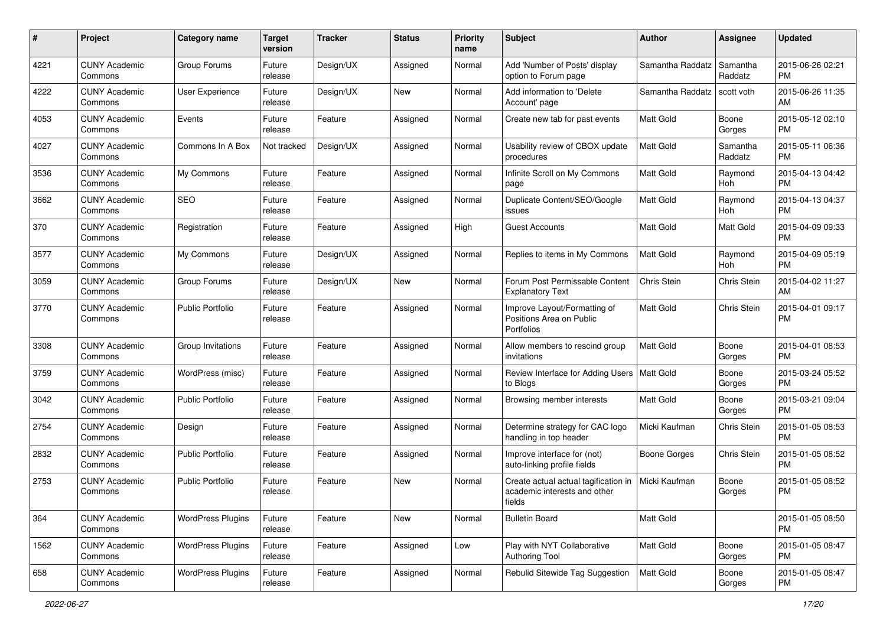| #    | Project                         | <b>Category name</b>     | <b>Target</b><br>version | <b>Tracker</b> | <b>Status</b> | <b>Priority</b><br>name | <b>Subject</b>                                                                 | Author              | <b>Assignee</b>     | <b>Updated</b>                |
|------|---------------------------------|--------------------------|--------------------------|----------------|---------------|-------------------------|--------------------------------------------------------------------------------|---------------------|---------------------|-------------------------------|
| 4221 | <b>CUNY Academic</b><br>Commons | Group Forums             | Future<br>release        | Design/UX      | Assigned      | Normal                  | Add 'Number of Posts' display<br>option to Forum page                          | Samantha Raddatz    | Samantha<br>Raddatz | 2015-06-26 02:21<br>PM        |
| 4222 | <b>CUNY Academic</b><br>Commons | User Experience          | Future<br>release        | Design/UX      | New           | Normal                  | Add information to 'Delete<br>Account' page                                    | Samantha Raddatz    | scott voth          | 2015-06-26 11:35<br>AM        |
| 4053 | <b>CUNY Academic</b><br>Commons | Events                   | Future<br>release        | Feature        | Assigned      | Normal                  | Create new tab for past events                                                 | Matt Gold           | Boone<br>Gorges     | 2015-05-12 02:10<br><b>PM</b> |
| 4027 | <b>CUNY Academic</b><br>Commons | Commons In A Box         | Not tracked              | Design/UX      | Assigned      | Normal                  | Usability review of CBOX update<br>procedures                                  | <b>Matt Gold</b>    | Samantha<br>Raddatz | 2015-05-11 06:36<br><b>PM</b> |
| 3536 | <b>CUNY Academic</b><br>Commons | My Commons               | Future<br>release        | Feature        | Assigned      | Normal                  | Infinite Scroll on My Commons<br>page                                          | <b>Matt Gold</b>    | Raymond<br>Hoh      | 2015-04-13 04:42<br><b>PM</b> |
| 3662 | <b>CUNY Academic</b><br>Commons | <b>SEO</b>               | Future<br>release        | Feature        | Assigned      | Normal                  | Duplicate Content/SEO/Google<br>issues                                         | Matt Gold           | Raymond<br>Hoh      | 2015-04-13 04:37<br>PM        |
| 370  | <b>CUNY Academic</b><br>Commons | Registration             | Future<br>release        | Feature        | Assigned      | High                    | <b>Guest Accounts</b>                                                          | Matt Gold           | Matt Gold           | 2015-04-09 09:33<br><b>PM</b> |
| 3577 | <b>CUNY Academic</b><br>Commons | My Commons               | Future<br>release        | Design/UX      | Assigned      | Normal                  | Replies to items in My Commons                                                 | <b>Matt Gold</b>    | Raymond<br>Hoh      | 2015-04-09 05:19<br><b>PM</b> |
| 3059 | <b>CUNY Academic</b><br>Commons | Group Forums             | Future<br>release        | Design/UX      | New           | Normal                  | Forum Post Permissable Content<br><b>Explanatory Text</b>                      | Chris Stein         | Chris Stein         | 2015-04-02 11:27<br>AM        |
| 3770 | <b>CUNY Academic</b><br>Commons | <b>Public Portfolio</b>  | Future<br>release        | Feature        | Assigned      | Normal                  | Improve Layout/Formatting of<br>Positions Area on Public<br>Portfolios         | Matt Gold           | Chris Stein         | 2015-04-01 09:17<br><b>PM</b> |
| 3308 | <b>CUNY Academic</b><br>Commons | Group Invitations        | Future<br>release        | Feature        | Assigned      | Normal                  | Allow members to rescind group<br>invitations                                  | Matt Gold           | Boone<br>Gorges     | 2015-04-01 08:53<br><b>PM</b> |
| 3759 | <b>CUNY Academic</b><br>Commons | WordPress (misc)         | Future<br>release        | Feature        | Assigned      | Normal                  | Review Interface for Adding Users   Matt Gold<br>to Blogs                      |                     | Boone<br>Gorges     | 2015-03-24 05:52<br><b>PM</b> |
| 3042 | <b>CUNY Academic</b><br>Commons | <b>Public Portfolio</b>  | Future<br>release        | Feature        | Assigned      | Normal                  | Browsing member interests                                                      | Matt Gold           | Boone<br>Gorges     | 2015-03-21 09:04<br><b>PM</b> |
| 2754 | <b>CUNY Academic</b><br>Commons | Design                   | Future<br>release        | Feature        | Assigned      | Normal                  | Determine strategy for CAC logo<br>handling in top header                      | Micki Kaufman       | Chris Stein         | 2015-01-05 08:53<br><b>PM</b> |
| 2832 | <b>CUNY Academic</b><br>Commons | <b>Public Portfolio</b>  | Future<br>release        | Feature        | Assigned      | Normal                  | Improve interface for (not)<br>auto-linking profile fields                     | <b>Boone Gorges</b> | Chris Stein         | 2015-01-05 08:52<br><b>PM</b> |
| 2753 | <b>CUNY Academic</b><br>Commons | Public Portfolio         | Future<br>release        | Feature        | <b>New</b>    | Normal                  | Create actual actual tagification in<br>academic interests and other<br>fields | Micki Kaufman       | Boone<br>Gorges     | 2015-01-05 08:52<br>PM        |
| 364  | <b>CUNY Academic</b><br>Commons | <b>WordPress Plugins</b> | Future<br>release        | Feature        | New           | Normal                  | <b>Bulletin Board</b>                                                          | Matt Gold           |                     | 2015-01-05 08:50<br>PM        |
| 1562 | <b>CUNY Academic</b><br>Commons | <b>WordPress Plugins</b> | Future<br>release        | Feature        | Assigned      | Low                     | Play with NYT Collaborative<br><b>Authoring Tool</b>                           | Matt Gold           | Boone<br>Gorges     | 2015-01-05 08:47<br>PM        |
| 658  | <b>CUNY Academic</b><br>Commons | <b>WordPress Plugins</b> | Future<br>release        | Feature        | Assigned      | Normal                  | Rebulid Sitewide Tag Suggestion                                                | Matt Gold           | Boone<br>Gorges     | 2015-01-05 08:47<br><b>PM</b> |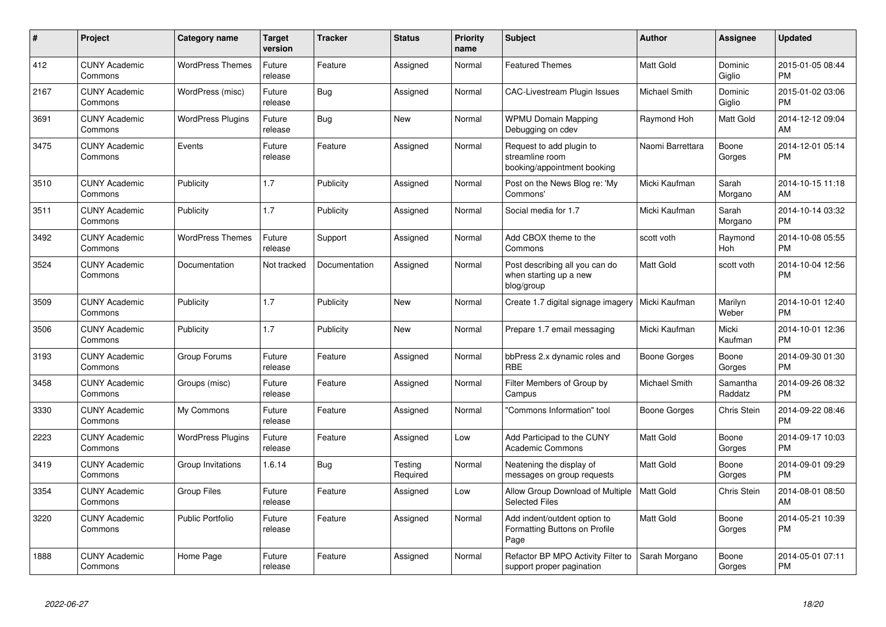| #    | <b>Project</b>                  | Category name            | <b>Target</b><br>version | <b>Tracker</b> | <b>Status</b>       | <b>Priority</b><br>name | <b>Subject</b>                                                             | <b>Author</b>        | Assignee              | Updated                       |
|------|---------------------------------|--------------------------|--------------------------|----------------|---------------------|-------------------------|----------------------------------------------------------------------------|----------------------|-----------------------|-------------------------------|
| 412  | <b>CUNY Academic</b><br>Commons | <b>WordPress Themes</b>  | Future<br>release        | Feature        | Assigned            | Normal                  | <b>Featured Themes</b>                                                     | Matt Gold            | Dominic<br>Giglio     | 2015-01-05 08:44<br><b>PM</b> |
| 2167 | <b>CUNY Academic</b><br>Commons | WordPress (misc)         | Future<br>release        | <b>Bug</b>     | Assigned            | Normal                  | <b>CAC-Livestream Plugin Issues</b>                                        | <b>Michael Smith</b> | Dominic<br>Giglio     | 2015-01-02 03:06<br><b>PM</b> |
| 3691 | <b>CUNY Academic</b><br>Commons | <b>WordPress Plugins</b> | Future<br>release        | <b>Bug</b>     | <b>New</b>          | Normal                  | <b>WPMU Domain Mapping</b><br>Debugging on cdev                            | Raymond Hoh          | Matt Gold             | 2014-12-12 09:04<br>AM        |
| 3475 | <b>CUNY Academic</b><br>Commons | Events                   | Future<br>release        | Feature        | Assigned            | Normal                  | Request to add plugin to<br>streamline room<br>booking/appointment booking | Naomi Barrettara     | Boone<br>Gorges       | 2014-12-01 05:14<br><b>PM</b> |
| 3510 | <b>CUNY Academic</b><br>Commons | Publicity                | 1.7                      | Publicity      | Assigned            | Normal                  | Post on the News Blog re: 'My<br>Commons'                                  | Micki Kaufman        | Sarah<br>Morgano      | 2014-10-15 11:18<br>AM        |
| 3511 | <b>CUNY Academic</b><br>Commons | Publicity                | 1.7                      | Publicity      | Assigned            | Normal                  | Social media for 1.7                                                       | Micki Kaufman        | Sarah<br>Morgano      | 2014-10-14 03:32<br><b>PM</b> |
| 3492 | <b>CUNY Academic</b><br>Commons | <b>WordPress Themes</b>  | Future<br>release        | Support        | Assigned            | Normal                  | Add CBOX theme to the<br>Commons                                           | scott voth           | Raymond<br><b>Hoh</b> | 2014-10-08 05:55<br><b>PM</b> |
| 3524 | <b>CUNY Academic</b><br>Commons | Documentation            | Not tracked              | Documentation  | Assigned            | Normal                  | Post describing all you can do<br>when starting up a new<br>blog/group     | Matt Gold            | scott voth            | 2014-10-04 12:56<br>PM        |
| 3509 | <b>CUNY Academic</b><br>Commons | Publicity                | 1.7                      | Publicity      | New                 | Normal                  | Create 1.7 digital signage imagery                                         | Micki Kaufman        | Marilyn<br>Weber      | 2014-10-01 12:40<br><b>PM</b> |
| 3506 | <b>CUNY Academic</b><br>Commons | Publicity                | 1.7                      | Publicity      | <b>New</b>          | Normal                  | Prepare 1.7 email messaging                                                | Micki Kaufman        | Micki<br>Kaufman      | 2014-10-01 12:36<br><b>PM</b> |
| 3193 | <b>CUNY Academic</b><br>Commons | Group Forums             | Future<br>release        | Feature        | Assigned            | Normal                  | bbPress 2.x dynamic roles and<br><b>RBE</b>                                | <b>Boone Gorges</b>  | Boone<br>Gorges       | 2014-09-30 01:30<br><b>PM</b> |
| 3458 | <b>CUNY Academic</b><br>Commons | Groups (misc)            | Future<br>release        | Feature        | Assigned            | Normal                  | Filter Members of Group by<br>Campus                                       | Michael Smith        | Samantha<br>Raddatz   | 2014-09-26 08:32<br><b>PM</b> |
| 3330 | <b>CUNY Academic</b><br>Commons | My Commons               | Future<br>release        | Feature        | Assigned            | Normal                  | 'Commons Information" tool                                                 | Boone Gorges         | Chris Stein           | 2014-09-22 08:46<br><b>PM</b> |
| 2223 | <b>CUNY Academic</b><br>Commons | <b>WordPress Plugins</b> | Future<br>release        | Feature        | Assigned            | Low                     | Add Participad to the CUNY<br><b>Academic Commons</b>                      | Matt Gold            | Boone<br>Gorges       | 2014-09-17 10:03<br><b>PM</b> |
| 3419 | <b>CUNY Academic</b><br>Commons | Group Invitations        | 1.6.14                   | Bug            | Testing<br>Required | Normal                  | Neatening the display of<br>messages on group requests                     | <b>Matt Gold</b>     | Boone<br>Gorges       | 2014-09-01 09:29<br><b>PM</b> |
| 3354 | <b>CUNY Academic</b><br>Commons | <b>Group Files</b>       | Future<br>release        | Feature        | Assigned            | Low                     | Allow Group Download of Multiple<br><b>Selected Files</b>                  | Matt Gold            | Chris Stein           | 2014-08-01 08:50<br>AM        |
| 3220 | <b>CUNY Academic</b><br>Commons | <b>Public Portfolio</b>  | Future<br>release        | Feature        | Assigned            | Normal                  | Add indent/outdent option to<br>Formatting Buttons on Profile<br>Page      | Matt Gold            | Boone<br>Gorges       | 2014-05-21 10:39<br><b>PM</b> |
| 1888 | <b>CUNY Academic</b><br>Commons | Home Page                | Future<br>release        | Feature        | Assigned            | Normal                  | Refactor BP MPO Activity Filter to<br>support proper pagination            | Sarah Morgano        | Boone<br>Gorges       | 2014-05-01 07:11<br><b>PM</b> |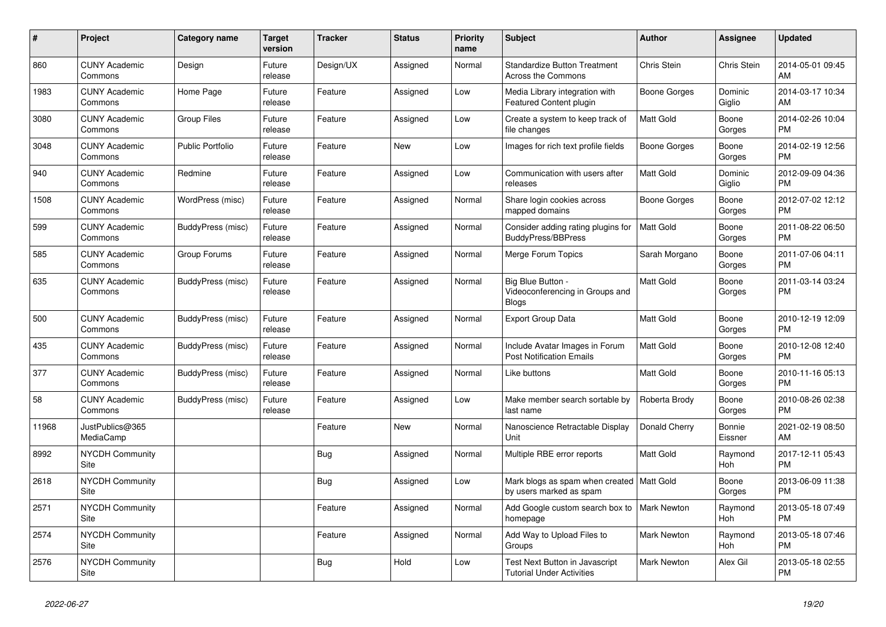| #     | Project                         | <b>Category name</b> | <b>Target</b><br>version | <b>Tracker</b> | <b>Status</b> | Priority<br>name | <b>Subject</b>                                                         | <b>Author</b>       | Assignee          | <b>Updated</b>                |
|-------|---------------------------------|----------------------|--------------------------|----------------|---------------|------------------|------------------------------------------------------------------------|---------------------|-------------------|-------------------------------|
| 860   | <b>CUNY Academic</b><br>Commons | Design               | Future<br>release        | Design/UX      | Assigned      | Normal           | <b>Standardize Button Treatment</b><br>Across the Commons              | Chris Stein         | Chris Stein       | 2014-05-01 09:45<br>AM        |
| 1983  | <b>CUNY Academic</b><br>Commons | Home Page            | Future<br>release        | Feature        | Assigned      | Low              | Media Library integration with<br><b>Featured Content plugin</b>       | Boone Gorges        | Dominic<br>Giglio | 2014-03-17 10:34<br>AM        |
| 3080  | <b>CUNY Academic</b><br>Commons | <b>Group Files</b>   | Future<br>release        | Feature        | Assigned      | Low              | Create a system to keep track of<br>file changes                       | Matt Gold           | Boone<br>Gorges   | 2014-02-26 10:04<br><b>PM</b> |
| 3048  | <b>CUNY Academic</b><br>Commons | Public Portfolio     | Future<br>release        | Feature        | <b>New</b>    | Low              | Images for rich text profile fields                                    | <b>Boone Gorges</b> | Boone<br>Gorges   | 2014-02-19 12:56<br><b>PM</b> |
| 940   | <b>CUNY Academic</b><br>Commons | Redmine              | Future<br>release        | Feature        | Assigned      | Low              | Communication with users after<br>releases                             | Matt Gold           | Dominic<br>Giglio | 2012-09-09 04:36<br><b>PM</b> |
| 1508  | <b>CUNY Academic</b><br>Commons | WordPress (misc)     | Future<br>release        | Feature        | Assigned      | Normal           | Share login cookies across<br>mapped domains                           | Boone Gorges        | Boone<br>Gorges   | 2012-07-02 12:12<br><b>PM</b> |
| 599   | <b>CUNY Academic</b><br>Commons | BuddyPress (misc)    | Future<br>release        | Feature        | Assigned      | Normal           | Consider adding rating plugins for<br><b>BuddyPress/BBPress</b>        | Matt Gold           | Boone<br>Gorges   | 2011-08-22 06:50<br><b>PM</b> |
| 585   | <b>CUNY Academic</b><br>Commons | Group Forums         | Future<br>release        | Feature        | Assigned      | Normal           | Merge Forum Topics                                                     | Sarah Morgano       | Boone<br>Gorges   | 2011-07-06 04:11<br><b>PM</b> |
| 635   | <b>CUNY Academic</b><br>Commons | BuddyPress (misc)    | Future<br>release        | Feature        | Assigned      | Normal           | Big Blue Button -<br>Videoconferencing in Groups and<br><b>Blogs</b>   | Matt Gold           | Boone<br>Gorges   | 2011-03-14 03:24<br><b>PM</b> |
| 500   | <b>CUNY Academic</b><br>Commons | BuddyPress (misc)    | Future<br>release        | Feature        | Assigned      | Normal           | Export Group Data                                                      | <b>Matt Gold</b>    | Boone<br>Gorges   | 2010-12-19 12:09<br><b>PM</b> |
| 435   | <b>CUNY Academic</b><br>Commons | BuddyPress (misc)    | Future<br>release        | Feature        | Assigned      | Normal           | Include Avatar Images in Forum<br><b>Post Notification Emails</b>      | Matt Gold           | Boone<br>Gorges   | 2010-12-08 12:40<br><b>PM</b> |
| 377   | <b>CUNY Academic</b><br>Commons | BuddyPress (misc)    | Future<br>release        | Feature        | Assigned      | Normal           | Like buttons                                                           | Matt Gold           | Boone<br>Gorges   | 2010-11-16 05:13<br><b>PM</b> |
| 58    | <b>CUNY Academic</b><br>Commons | BuddyPress (misc)    | Future<br>release        | Feature        | Assigned      | Low              | Make member search sortable by<br>last name                            | Roberta Brody       | Boone<br>Gorges   | 2010-08-26 02:38<br><b>PM</b> |
| 11968 | JustPublics@365<br>MediaCamp    |                      |                          | Feature        | <b>New</b>    | Normal           | Nanoscience Retractable Display<br>Unit                                | Donald Cherry       | Bonnie<br>Eissner | 2021-02-19 08:50<br>AM        |
| 8992  | <b>NYCDH Community</b><br>Site  |                      |                          | <b>Bug</b>     | Assigned      | Normal           | Multiple RBE error reports                                             | Matt Gold           | Raymond<br>Hoh    | 2017-12-11 05:43<br><b>PM</b> |
| 2618  | <b>NYCDH Community</b><br>Site  |                      |                          | <b>Bug</b>     | Assigned      | Low              | Mark blogs as spam when created   Matt Gold<br>by users marked as spam |                     | Boone<br>Gorges   | 2013-06-09 11:38<br><b>PM</b> |
| 2571  | <b>NYCDH Community</b><br>Site  |                      |                          | Feature        | Assigned      | Normal           | Add Google custom search box to   Mark Newton<br>homepage              |                     | Raymond<br>Hoh    | 2013-05-18 07:49<br><b>PM</b> |
| 2574  | <b>NYCDH Community</b><br>Site  |                      |                          | Feature        | Assigned      | Normal           | Add Way to Upload Files to<br>Groups                                   | <b>Mark Newton</b>  | Raymond<br>Hoh    | 2013-05-18 07:46<br><b>PM</b> |
| 2576  | <b>NYCDH Community</b><br>Site  |                      |                          | Bug            | Hold          | Low              | Test Next Button in Javascript<br><b>Tutorial Under Activities</b>     | <b>Mark Newton</b>  | Alex Gil          | 2013-05-18 02:55<br><b>PM</b> |